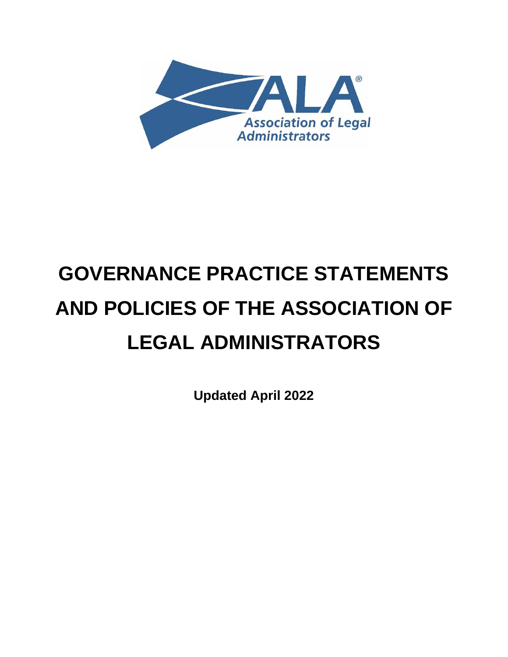

# **GOVERNANCE PRACTICE STATEMENTS AND POLICIES OF THE ASSOCIATION OF LEGAL ADMINISTRATORS**

**Updated April 2022**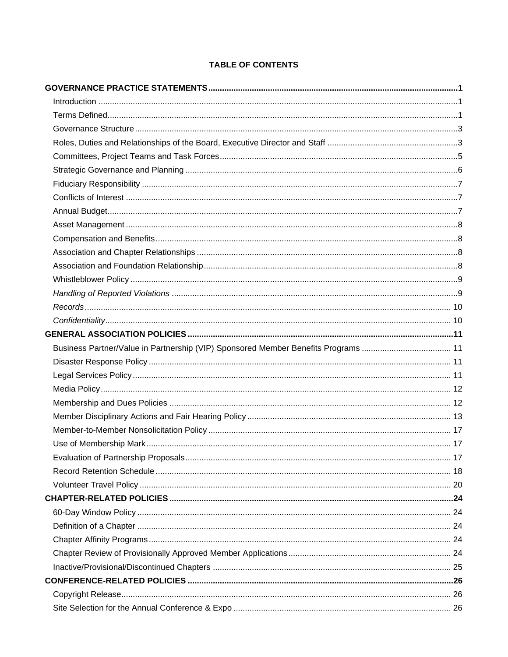# **TABLE OF CONTENTS**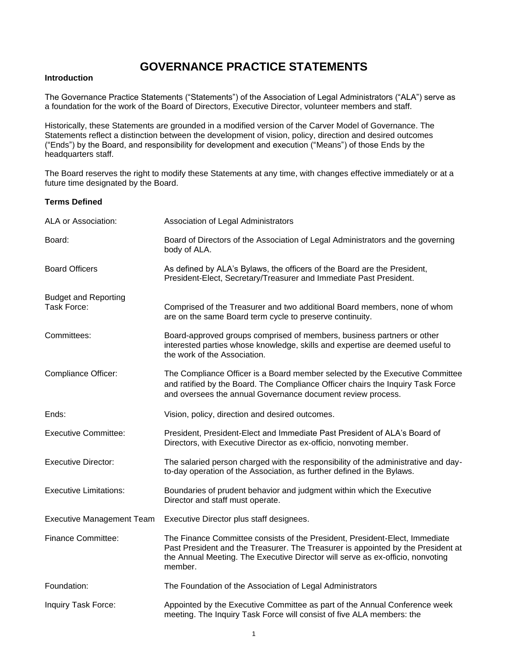# **GOVERNANCE PRACTICE STATEMENTS**

# <span id="page-4-1"></span><span id="page-4-0"></span>**Introduction**

The Governance Practice Statements ("Statements") of the Association of Legal Administrators ("ALA") serve as a foundation for the work of the Board of Directors, Executive Director, volunteer members and staff.

Historically, these Statements are grounded in a modified version of the Carver Model of Governance. The Statements reflect a distinction between the development of vision, policy, direction and desired outcomes ("Ends") by the Board, and responsibility for development and execution ("Means") of those Ends by the headquarters staff.

The Board reserves the right to modify these Statements at any time, with changes effective immediately or at a future time designated by the Board.

# <span id="page-4-2"></span>**Terms Defined**

| ALA or Association:              | Association of Legal Administrators                                                                                                                                                                                                                          |
|----------------------------------|--------------------------------------------------------------------------------------------------------------------------------------------------------------------------------------------------------------------------------------------------------------|
| Board:                           | Board of Directors of the Association of Legal Administrators and the governing<br>body of ALA.                                                                                                                                                              |
| <b>Board Officers</b>            | As defined by ALA's Bylaws, the officers of the Board are the President,<br>President-Elect, Secretary/Treasurer and Immediate Past President.                                                                                                               |
| <b>Budget and Reporting</b>      |                                                                                                                                                                                                                                                              |
| Task Force:                      | Comprised of the Treasurer and two additional Board members, none of whom<br>are on the same Board term cycle to preserve continuity.                                                                                                                        |
| Committees:                      | Board-approved groups comprised of members, business partners or other<br>interested parties whose knowledge, skills and expertise are deemed useful to<br>the work of the Association.                                                                      |
| Compliance Officer:              | The Compliance Officer is a Board member selected by the Executive Committee<br>and ratified by the Board. The Compliance Officer chairs the Inquiry Task Force<br>and oversees the annual Governance document review process.                               |
| Ends:                            | Vision, policy, direction and desired outcomes.                                                                                                                                                                                                              |
| <b>Executive Committee:</b>      | President, President-Elect and Immediate Past President of ALA's Board of<br>Directors, with Executive Director as ex-officio, nonvoting member.                                                                                                             |
| <b>Executive Director:</b>       | The salaried person charged with the responsibility of the administrative and day-<br>to-day operation of the Association, as further defined in the Bylaws.                                                                                                 |
| <b>Executive Limitations:</b>    | Boundaries of prudent behavior and judgment within which the Executive<br>Director and staff must operate.                                                                                                                                                   |
| <b>Executive Management Team</b> | Executive Director plus staff designees.                                                                                                                                                                                                                     |
| <b>Finance Committee:</b>        | The Finance Committee consists of the President, President-Elect, Immediate<br>Past President and the Treasurer. The Treasurer is appointed by the President at<br>the Annual Meeting. The Executive Director will serve as ex-officio, nonvoting<br>member. |
| Foundation:                      | The Foundation of the Association of Legal Administrators                                                                                                                                                                                                    |
| Inquiry Task Force:              | Appointed by the Executive Committee as part of the Annual Conference week<br>meeting. The Inquiry Task Force will consist of five ALA members: the                                                                                                          |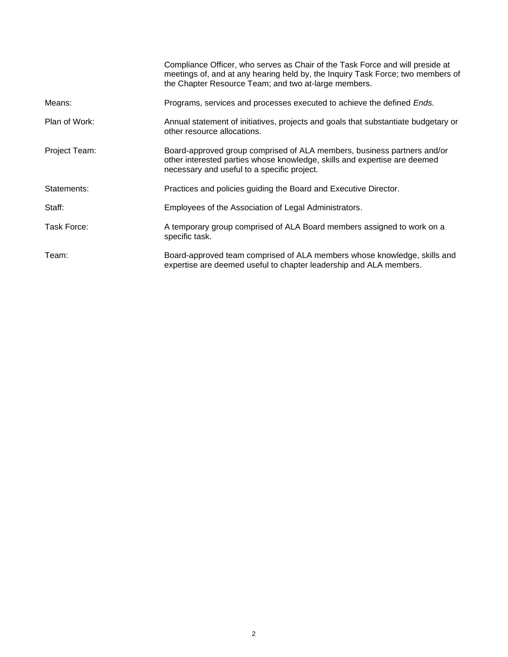|               | Compliance Officer, who serves as Chair of the Task Force and will preside at<br>meetings of, and at any hearing held by, the Inquiry Task Force; two members of<br>the Chapter Resource Team; and two at-large members. |
|---------------|--------------------------------------------------------------------------------------------------------------------------------------------------------------------------------------------------------------------------|
| Means:        | Programs, services and processes executed to achieve the defined <i>Ends.</i>                                                                                                                                            |
| Plan of Work: | Annual statement of initiatives, projects and goals that substantiate budgetary or<br>other resource allocations.                                                                                                        |
| Project Team: | Board-approved group comprised of ALA members, business partners and/or<br>other interested parties whose knowledge, skills and expertise are deemed<br>necessary and useful to a specific project.                      |
| Statements:   | Practices and policies guiding the Board and Executive Director.                                                                                                                                                         |
| Staff:        | Employees of the Association of Legal Administrators.                                                                                                                                                                    |
| Task Force:   | A temporary group comprised of ALA Board members assigned to work on a<br>specific task.                                                                                                                                 |
| Team:         | Board-approved team comprised of ALA members whose knowledge, skills and<br>expertise are deemed useful to chapter leadership and ALA members.                                                                           |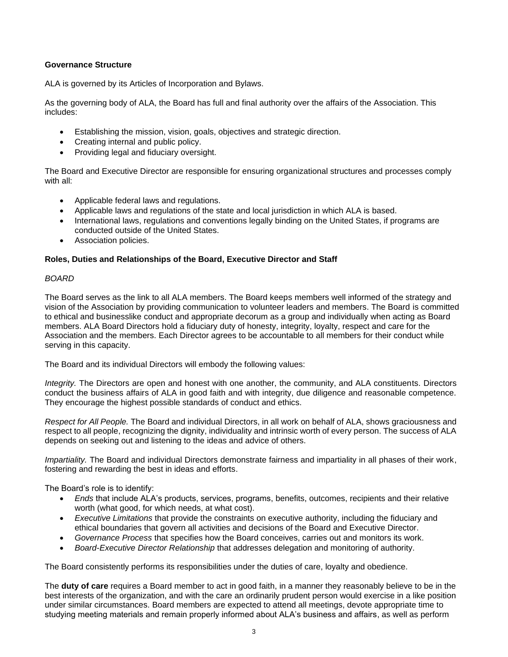# <span id="page-6-0"></span>**Governance Structure**

ALA is governed by its Articles of Incorporation and Bylaws.

As the governing body of ALA, the Board has full and final authority over the affairs of the Association. This includes:

- Establishing the mission, vision, goals, objectives and strategic direction.
- Creating internal and public policy.
- Providing legal and fiduciary oversight.

The Board and Executive Director are responsible for ensuring organizational structures and processes comply with all:

- Applicable federal laws and regulations.
- Applicable laws and regulations of the state and local jurisdiction in which ALA is based.
- International laws, regulations and conventions legally binding on the United States, if programs are conducted outside of the United States.
- Association policies.

# <span id="page-6-1"></span>**Roles, Duties and Relationships of the Board, Executive Director and Staff**

# *BOARD*

The Board serves as the link to all ALA members. The Board keeps members well informed of the strategy and vision of the Association by providing communication to volunteer leaders and members. The Board is committed to ethical and businesslike conduct and appropriate decorum as a group and individually when acting as Board members. ALA Board Directors hold a fiduciary duty of honesty, integrity, loyalty, respect and care for the Association and the members. Each Director agrees to be accountable to all members for their conduct while serving in this capacity.

The Board and its individual Directors will embody the following values:

*Integrity.* The Directors are open and honest with one another, the community, and ALA constituents. Directors conduct the business affairs of ALA in good faith and with integrity, due diligence and reasonable competence. They encourage the highest possible standards of conduct and ethics.

*Respect for All People.* The Board and individual Directors, in all work on behalf of ALA, shows graciousness and respect to all people, recognizing the dignity, individuality and intrinsic worth of every person. The success of ALA depends on seeking out and listening to the ideas and advice of others.

*Impartiality.* The Board and individual Directors demonstrate fairness and impartiality in all phases of their work, fostering and rewarding the best in ideas and efforts.

The Board's role is to identify:

- *Ends* that include ALA's products, services, programs, benefits, outcomes, recipients and their relative worth (what good, for which needs, at what cost).
- *Executive Limitations* that provide the constraints on executive authority, including the fiduciary and ethical boundaries that govern all activities and decisions of the Board and Executive Director.
- *Governance Process* that specifies how the Board conceives, carries out and monitors its work.
- *Board-Executive Director Relationship* that addresses delegation and monitoring of authority.

The Board consistently performs its responsibilities under the duties of care, loyalty and obedience.

The **duty of care** requires a Board member to act in good faith, in a manner they reasonably believe to be in the best interests of the organization, and with the care an ordinarily prudent person would exercise in a like position under similar circumstances. Board members are expected to attend all meetings, devote appropriate time to studying meeting materials and remain properly informed about ALA's business and affairs, as well as perform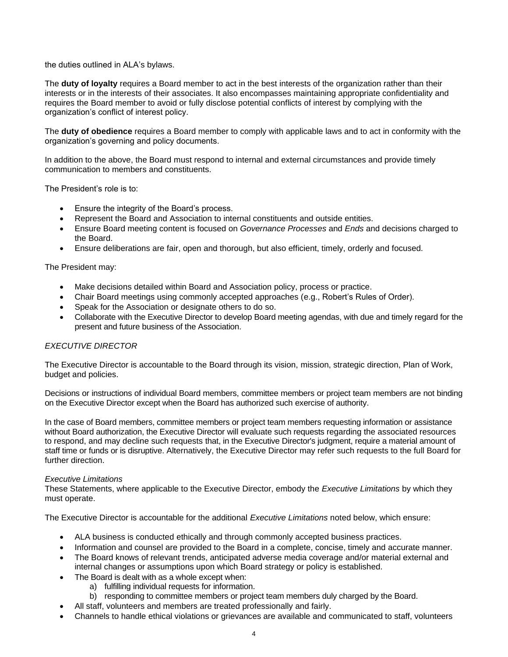the duties outlined in ALA's bylaws.

The **duty of loyalty** requires a Board member to act in the best interests of the organization rather than their interests or in the interests of their associates. It also encompasses maintaining appropriate confidentiality and requires the Board member to avoid or fully disclose potential conflicts of interest by complying with the organization's conflict of interest policy.

The **duty of obedience** requires a Board member to comply with applicable laws and to act in conformity with the organization's governing and policy documents.

In addition to the above, the Board must respond to internal and external circumstances and provide timely communication to members and constituents.

The President's role is to:

- Ensure the integrity of the Board's process.
- Represent the Board and Association to internal constituents and outside entities.
- Ensure Board meeting content is focused on *Governance Processes* and *Ends* and decisions charged to the Board.
- Ensure deliberations are fair, open and thorough, but also efficient, timely, orderly and focused.

The President may:

- Make decisions detailed within Board and Association policy, process or practice.
- Chair Board meetings using commonly accepted approaches (e.g., Robert's Rules of Order).
- Speak for the Association or designate others to do so.
- Collaborate with the Executive Director to develop Board meeting agendas, with due and timely regard for the present and future business of the Association.

# *EXECUTIVE DIRECTOR*

The Executive Director is accountable to the Board through its vision, mission, strategic direction, Plan of Work, budget and policies.

Decisions or instructions of individual Board members, committee members or project team members are not binding on the Executive Director except when the Board has authorized such exercise of authority.

In the case of Board members, committee members or project team members requesting information or assistance without Board authorization, the Executive Director will evaluate such requests regarding the associated resources to respond, and may decline such requests that, in the Executive Director's judgment, require a material amount of staff time or funds or is disruptive. Alternatively, the Executive Director may refer such requests to the full Board for further direction.

# *Executive Limitations*

These Statements, where applicable to the Executive Director, embody the *Executive Limitations* by which they must operate.

The Executive Director is accountable for the additional *Executive Limitations* noted below, which ensure:

- ALA business is conducted ethically and through commonly accepted business practices.
- Information and counsel are provided to the Board in a complete, concise, timely and accurate manner.
- The Board knows of relevant trends, anticipated adverse media coverage and/or material external and internal changes or assumptions upon which Board strategy or policy is established.
- The Board is dealt with as a whole except when:
	- a) fulfilling individual requests for information.
	- b) responding to committee members or project team members duly charged by the Board.
- All staff, volunteers and members are treated professionally and fairly.
- Channels to handle ethical violations or grievances are available and communicated to staff, volunteers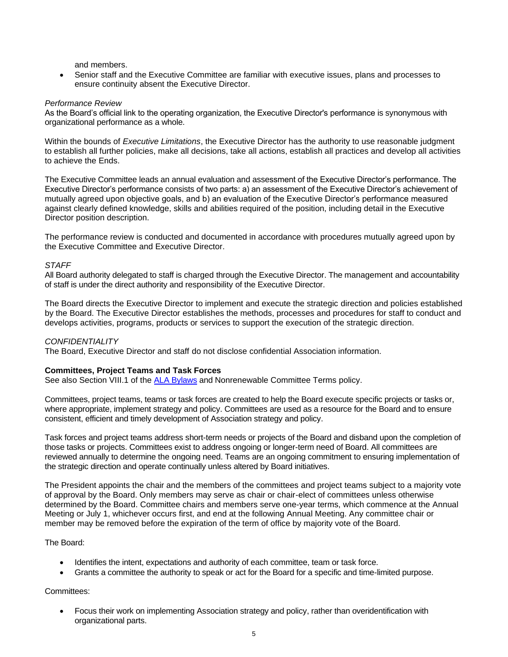and members.

• Senior staff and the Executive Committee are familiar with executive issues, plans and processes to ensure continuity absent the Executive Director.

# *Performance Review*

As the Board's official link to the operating organization, the Executive Director's performance is synonymous with organizational performance as a whole.

Within the bounds of *Executive Limitations*, the Executive Director has the authority to use reasonable judgment to establish all further policies, make all decisions, take all actions, establish all practices and develop all activities to achieve the Ends.

The Executive Committee leads an annual evaluation and assessment of the Executive Director's performance. The Executive Director's performance consists of two parts: a) an assessment of the Executive Director's achievement of mutually agreed upon objective goals, and b) an evaluation of the Executive Director's performance measured against clearly defined knowledge, skills and abilities required of the position, including detail in the Executive Director position description.

The performance review is conducted and documented in accordance with procedures mutually agreed upon by the Executive Committee and Executive Director.

# *STAFF*

All Board authority delegated to staff is charged through the Executive Director. The management and accountability of staff is under the direct authority and responsibility of the Executive Director.

The Board directs the Executive Director to implement and execute the strategic direction and policies established by the Board. The Executive Director establishes the methods, processes and procedures for staff to conduct and develops activities, programs, products or services to support the execution of the strategic direction.

# *CONFIDENTIALITY*

The Board, Executive Director and staff do not disclose confidential Association information.

# <span id="page-8-0"></span>**Committees, Project Teams and Task Forces**

See also Section VIII.1 of the [ALA Bylaws](https://www.alanet.org/docs/default-source/governance-documents/ala-bylaws-(july-2019)-final.pdf?sfvrsn=7f9c49ab_34) and Nonrenewable Committee Terms policy.

Committees, project teams, teams or task forces are created to help the Board execute specific projects or tasks or, where appropriate, implement strategy and policy. Committees are used as a resource for the Board and to ensure consistent, efficient and timely development of Association strategy and policy.

Task forces and project teams address short-term needs or projects of the Board and disband upon the completion of those tasks or projects. Committees exist to address ongoing or longer-term need of Board. All committees are reviewed annually to determine the ongoing need. Teams are an ongoing commitment to ensuring implementation of the strategic direction and operate continually unless altered by Board initiatives.

The President appoints the chair and the members of the committees and project teams subject to a majority vote of approval by the Board. Only members may serve as chair or chair-elect of committees unless otherwise determined by the Board. Committee chairs and members serve one-year terms, which commence at the Annual Meeting or July 1, whichever occurs first, and end at the following Annual Meeting. Any committee chair or member may be removed before the expiration of the term of office by majority vote of the Board.

# The Board:

- Identifies the intent, expectations and authority of each committee, team or task force.
- Grants a committee the authority to speak or act for the Board for a specific and time-limited purpose.

# Committees:

• Focus their work on implementing Association strategy and policy, rather than overidentification with organizational parts.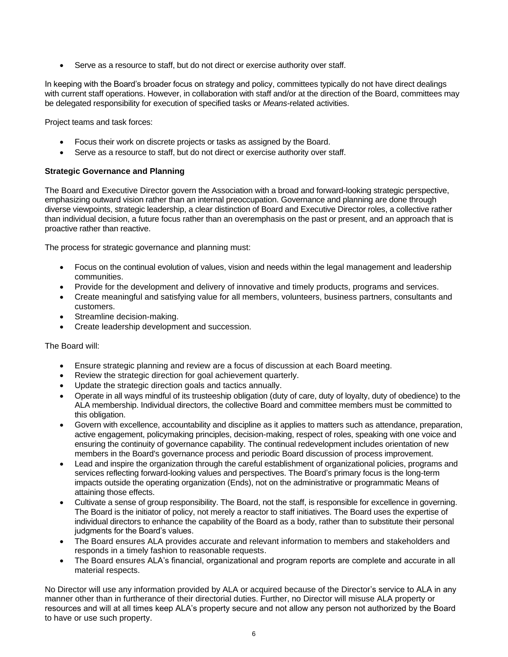• Serve as a resource to staff, but do not direct or exercise authority over staff.

In keeping with the Board's broader focus on strategy and policy, committees typically do not have direct dealings with current staff operations. However, in collaboration with staff and/or at the direction of the Board, committees may be delegated responsibility for execution of specified tasks or *Means*-related activities.

Project teams and task forces:

- Focus their work on discrete projects or tasks as assigned by the Board.
- Serve as a resource to staff, but do not direct or exercise authority over staff.

# <span id="page-9-0"></span>**Strategic Governance and Planning**

The Board and Executive Director govern the Association with a broad and forward-looking strategic perspective, emphasizing outward vision rather than an internal preoccupation. Governance and planning are done through diverse viewpoints, strategic leadership, a clear distinction of Board and Executive Director roles, a collective rather than individual decision, a future focus rather than an overemphasis on the past or present, and an approach that is proactive rather than reactive.

The process for strategic governance and planning must:

- Focus on the continual evolution of values, vision and needs within the legal management and leadership communities.
- Provide for the development and delivery of innovative and timely products, programs and services.
- Create meaningful and satisfying value for all members, volunteers, business partners, consultants and customers.
- Streamline decision-making.
- Create leadership development and succession.

The Board will:

- Ensure strategic planning and review are a focus of discussion at each Board meeting.
- Review the strategic direction for goal achievement quarterly.
- Update the strategic direction goals and tactics annually.
- Operate in all ways mindful of its trusteeship obligation (duty of care, duty of loyalty, duty of obedience) to the ALA membership. Individual directors, the collective Board and committee members must be committed to this obligation.
- Govern with excellence, accountability and discipline as it applies to matters such as attendance, preparation, active engagement, policymaking principles, decision-making, respect of roles, speaking with one voice and ensuring the continuity of governance capability. The continual redevelopment includes orientation of new members in the Board's governance process and periodic Board discussion of process improvement.
- Lead and inspire the organization through the careful establishment of organizational policies, programs and services reflecting forward-looking values and perspectives. The Board's primary focus is the long-term impacts outside the operating organization (Ends), not on the administrative or programmatic Means of attaining those effects.
- Cultivate a sense of group responsibility. The Board, not the staff, is responsible for excellence in governing. The Board is the initiator of policy, not merely a reactor to staff initiatives. The Board uses the expertise of individual directors to enhance the capability of the Board as a body, rather than to substitute their personal judgments for the Board's values.
- The Board ensures ALA provides accurate and relevant information to members and stakeholders and responds in a timely fashion to reasonable requests.
- The Board ensures ALA's financial, organizational and program reports are complete and accurate in all material respects.

No Director will use any information provided by ALA or acquired because of the Director's service to ALA in any manner other than in furtherance of their directorial duties. Further, no Director will misuse ALA property or resources and will at all times keep ALA's property secure and not allow any person not authorized by the Board to have or use such property.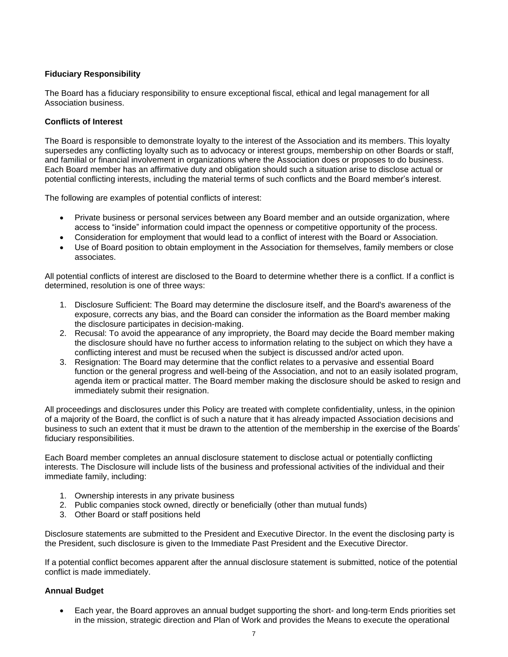# <span id="page-10-0"></span>**Fiduciary Responsibility**

The Board has a fiduciary responsibility to ensure exceptional fiscal, ethical and legal management for all Association business.

#### <span id="page-10-1"></span>**Conflicts of Interest**

The Board is responsible to demonstrate loyalty to the interest of the Association and its members. This loyalty supersedes any conflicting loyalty such as to advocacy or interest groups, membership on other Boards or staff, and familial or financial involvement in organizations where the Association does or proposes to do business. Each Board member has an affirmative duty and obligation should such a situation arise to disclose actual or potential conflicting interests, including the material terms of such conflicts and the Board member's interest.

The following are examples of potential conflicts of interest:

- Private business or personal services between any Board member and an outside organization, where access to "inside" information could impact the openness or competitive opportunity of the process.
- Consideration for employment that would lead to a conflict of interest with the Board or Association.
- Use of Board position to obtain employment in the Association for themselves, family members or close associates.

All potential conflicts of interest are disclosed to the Board to determine whether there is a conflict. If a conflict is determined, resolution is one of three ways:

- 1. Disclosure Sufficient: The Board may determine the disclosure itself, and the Board's awareness of the exposure, corrects any bias, and the Board can consider the information as the Board member making the disclosure participates in decision-making.
- 2. Recusal: To avoid the appearance of any impropriety, the Board may decide the Board member making the disclosure should have no further access to information relating to the subject on which they have a conflicting interest and must be recused when the subject is discussed and/or acted upon.
- 3. Resignation: The Board may determine that the conflict relates to a pervasive and essential Board function or the general progress and well-being of the Association, and not to an easily isolated program, agenda item or practical matter. The Board member making the disclosure should be asked to resign and immediately submit their resignation.

All proceedings and disclosures under this Policy are treated with complete confidentiality, unless, in the opinion of a majority of the Board, the conflict is of such a nature that it has already impacted Association decisions and business to such an extent that it must be drawn to the attention of the membership in the exercise of the Boards' fiduciary responsibilities.

Each Board member completes an annual disclosure statement to disclose actual or potentially conflicting interests. The Disclosure will include lists of the business and professional activities of the individual and their immediate family, including:

- 1. Ownership interests in any private business
- 2. Public companies stock owned, directly or beneficially (other than mutual funds)
- 3. Other Board or staff positions held

Disclosure statements are submitted to the President and Executive Director. In the event the disclosing party is the President, such disclosure is given to the Immediate Past President and the Executive Director.

If a potential conflict becomes apparent after the annual disclosure statement is submitted, notice of the potential conflict is made immediately.

# <span id="page-10-2"></span>**Annual Budget**

• Each year, the Board approves an annual budget supporting the short- and long-term Ends priorities set in the mission, strategic direction and Plan of Work and provides the Means to execute the operational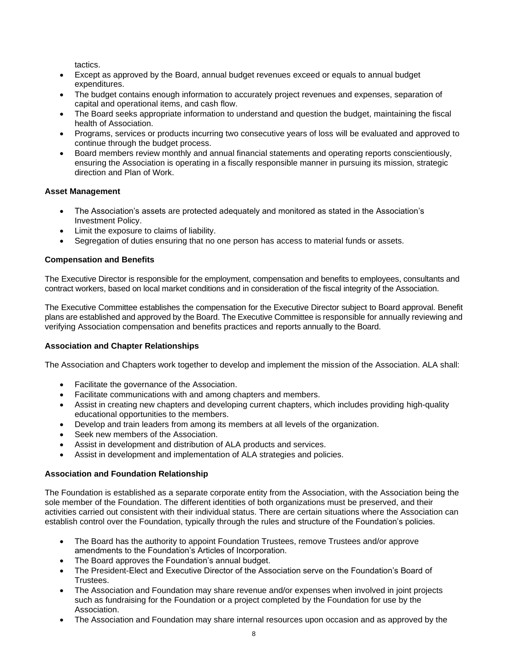tactics.

- Except as approved by the Board, annual budget revenues exceed or equals to annual budget expenditures.
- The budget contains enough information to accurately project revenues and expenses, separation of capital and operational items, and cash flow.
- The Board seeks appropriate information to understand and question the budget, maintaining the fiscal health of Association.
- Programs, services or products incurring two consecutive years of loss will be evaluated and approved to continue through the budget process.
- Board members review monthly and annual financial statements and operating reports conscientiously, ensuring the Association is operating in a fiscally responsible manner in pursuing its mission, strategic direction and Plan of Work.

# <span id="page-11-0"></span>**Asset Management**

- The Association's assets are protected adequately and monitored as stated in the Association's Investment Policy.
- Limit the exposure to claims of liability.
- Segregation of duties ensuring that no one person has access to material funds or assets.

# <span id="page-11-1"></span>**Compensation and Benefits**

The Executive Director is responsible for the employment, compensation and benefits to employees, consultants and contract workers, based on local market conditions and in consideration of the fiscal integrity of the Association.

The Executive Committee establishes the compensation for the Executive Director subject to Board approval. Benefit plans are established and approved by the Board. The Executive Committee is responsible for annually reviewing and verifying Association compensation and benefits practices and reports annually to the Board.

# <span id="page-11-2"></span>**Association and Chapter Relationships**

The Association and Chapters work together to develop and implement the mission of the Association. ALA shall:

- Facilitate the governance of the Association.
- Facilitate communications with and among chapters and members.
- Assist in creating new chapters and developing current chapters, which includes providing high-quality educational opportunities to the members.
- Develop and train leaders from among its members at all levels of the organization.
- Seek new members of the Association.
- Assist in development and distribution of ALA products and services.
- Assist in development and implementation of ALA strategies and policies.

# <span id="page-11-3"></span>**Association and Foundation Relationship**

The Foundation is established as a separate corporate entity from the Association, with the Association being the sole member of the Foundation. The different identities of both organizations must be preserved, and their activities carried out consistent with their individual status. There are certain situations where the Association can establish control over the Foundation, typically through the rules and structure of the Foundation's policies.

- The Board has the authority to appoint Foundation Trustees, remove Trustees and/or approve amendments to the Foundation's Articles of Incorporation.
- The Board approves the Foundation's annual budget.
- The President-Elect and Executive Director of the Association serve on the Foundation's Board of **Trustees**
- The Association and Foundation may share revenue and/or expenses when involved in joint projects such as fundraising for the Foundation or a project completed by the Foundation for use by the Association.
- The Association and Foundation may share internal resources upon occasion and as approved by the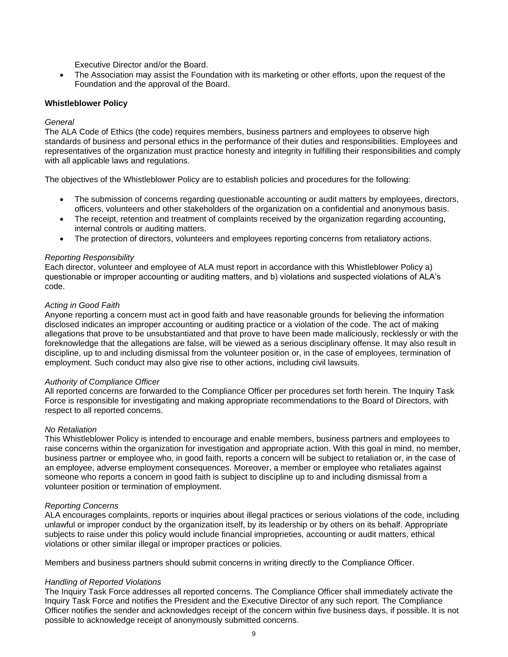Executive Director and/or the Board.

• The Association may assist the Foundation with its marketing or other efforts, upon the request of the Foundation and the approval of the Board.

# <span id="page-12-0"></span>**Whistleblower Policy**

#### *General*

The ALA Code of Ethics (the code) requires members, business partners and employees to observe high standards of business and personal ethics in the performance of their duties and responsibilities. Employees and representatives of the organization must practice honesty and integrity in fulfilling their responsibilities and comply with all applicable laws and regulations.

The objectives of the Whistleblower Policy are to establish policies and procedures for the following:

- The submission of concerns regarding questionable accounting or audit matters by employees, directors, officers, volunteers and other stakeholders of the organization on a confidential and anonymous basis.
- The receipt, retention and treatment of complaints received by the organization regarding accounting, internal controls or auditing matters.
- The protection of directors, volunteers and employees reporting concerns from retaliatory actions.

#### *Reporting Responsibility*

Each director, volunteer and employee of ALA must report in accordance with this Whistleblower Policy a) questionable or improper accounting or auditing matters, and b) violations and suspected violations of ALA's code.

#### *Acting in Good Faith*

Anyone reporting a concern must act in good faith and have reasonable grounds for believing the information disclosed indicates an improper accounting or auditing practice or a violation of the code. The act of making allegations that prove to be unsubstantiated and that prove to have been made maliciously, recklessly or with the foreknowledge that the allegations are false, will be viewed as a serious disciplinary offense. It may also result in discipline, up to and including dismissal from the volunteer position or, in the case of employees, termination of employment. Such conduct may also give rise to other actions, including civil lawsuits.

#### *Authority of Compliance Officer*

All reported concerns are forwarded to the Compliance Officer per procedures set forth herein. The Inquiry Task Force is responsible for investigating and making appropriate recommendations to the Board of Directors, with respect to all reported concerns.

#### *No Retaliation*

This Whistleblower Policy is intended to encourage and enable members, business partners and employees to raise concerns within the organization for investigation and appropriate action. With this goal in mind, no member, business partner or employee who, in good faith, reports a concern will be subject to retaliation or, in the case of an employee, adverse employment consequences. Moreover, a member or employee who retaliates against someone who reports a concern in good faith is subject to discipline up to and including dismissal from a volunteer position or termination of employment.

# *Reporting Concerns*

ALA encourages complaints, reports or inquiries about illegal practices or serious violations of the code, including unlawful or improper conduct by the organization itself, by its leadership or by others on its behalf. Appropriate subjects to raise under this policy would include financial improprieties, accounting or audit matters, ethical violations or other similar illegal or improper practices or policies.

Members and business partners should submit concerns in writing directly to the Compliance Officer.

#### <span id="page-12-1"></span>*Handling of Reported Violations*

The Inquiry Task Force addresses all reported concerns. The Compliance Officer shall immediately activate the Inquiry Task Force and notifies the President and the Executive Director of any such report. The Compliance Officer notifies the sender and acknowledges receipt of the concern within five business days, if possible. It is not possible to acknowledge receipt of anonymously submitted concerns.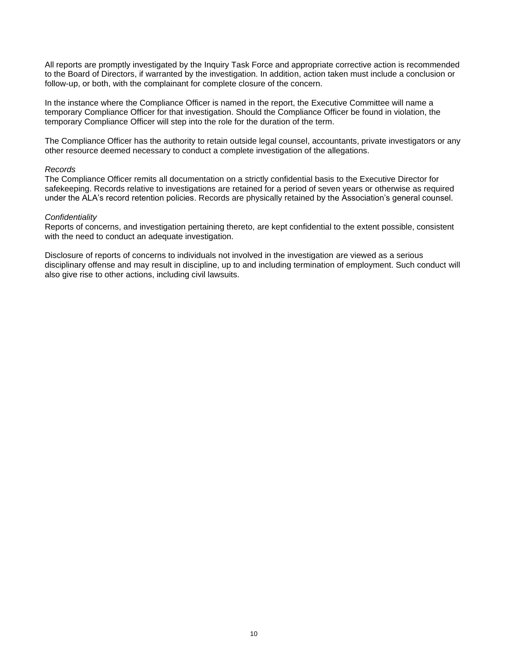All reports are promptly investigated by the Inquiry Task Force and appropriate corrective action is recommended to the Board of Directors, if warranted by the investigation. In addition, action taken must include a conclusion or follow-up, or both, with the complainant for complete closure of the concern.

In the instance where the Compliance Officer is named in the report, the Executive Committee will name a temporary Compliance Officer for that investigation. Should the Compliance Officer be found in violation, the temporary Compliance Officer will step into the role for the duration of the term.

The Compliance Officer has the authority to retain outside legal counsel, accountants, private investigators or any other resource deemed necessary to conduct a complete investigation of the allegations.

#### <span id="page-13-0"></span>*Records*

The Compliance Officer remits all documentation on a strictly confidential basis to the Executive Director for safekeeping. Records relative to investigations are retained for a period of seven years or otherwise as required under the ALA's record retention policies. Records are physically retained by the Association's general counsel.

#### <span id="page-13-1"></span>*Confidentiality*

Reports of concerns, and investigation pertaining thereto, are kept confidential to the extent possible, consistent with the need to conduct an adequate investigation.

Disclosure of reports of concerns to individuals not involved in the investigation are viewed as a serious disciplinary offense and may result in discipline, up to and including termination of employment. Such conduct will also give rise to other actions, including civil lawsuits.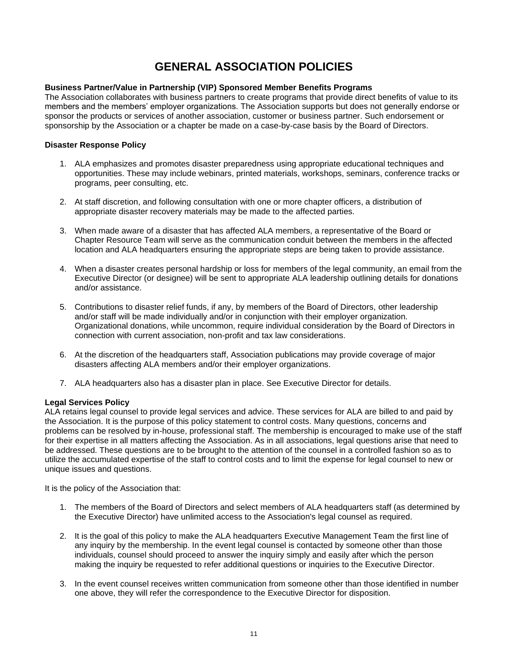# **GENERAL ASSOCIATION POLICIES**

# <span id="page-14-1"></span><span id="page-14-0"></span>**Business Partner/Value in Partnership (VIP) Sponsored Member Benefits Programs**

The Association collaborates with business partners to create programs that provide direct benefits of value to its members and the members' employer organizations. The Association supports but does not generally endorse or sponsor the products or services of another association, customer or business partner. Such endorsement or sponsorship by the Association or a chapter be made on a case-by-case basis by the Board of Directors.

# <span id="page-14-2"></span>**Disaster Response Policy**

- 1. ALA emphasizes and promotes disaster preparedness using appropriate educational techniques and opportunities. These may include webinars, printed materials, workshops, seminars, conference tracks or programs, peer consulting, etc.
- 2. At staff discretion, and following consultation with one or more chapter officers, a distribution of appropriate disaster recovery materials may be made to the affected parties.
- 3. When made aware of a disaster that has affected ALA members, a representative of the Board or Chapter Resource Team will serve as the communication conduit between the members in the affected location and ALA headquarters ensuring the appropriate steps are being taken to provide assistance.
- 4. When a disaster creates personal hardship or loss for members of the legal community, an email from the Executive Director (or designee) will be sent to appropriate ALA leadership outlining details for donations and/or assistance.
- 5. Contributions to disaster relief funds, if any, by members of the Board of Directors, other leadership and/or staff will be made individually and/or in conjunction with their employer organization. Organizational donations, while uncommon, require individual consideration by the Board of Directors in connection with current association, non-profit and tax law considerations.
- 6. At the discretion of the headquarters staff, Association publications may provide coverage of major disasters affecting ALA members and/or their employer organizations.
- 7. ALA headquarters also has a disaster plan in place. See Executive Director for details.

# <span id="page-14-3"></span>**Legal Services Policy**

ALA retains legal counsel to provide legal services and advice. These services for ALA are billed to and paid by the Association. It is the purpose of this policy statement to control costs. Many questions, concerns and problems can be resolved by in-house, professional staff. The membership is encouraged to make use of the staff for their expertise in all matters affecting the Association. As in all associations, legal questions arise that need to be addressed. These questions are to be brought to the attention of the counsel in a controlled fashion so as to utilize the accumulated expertise of the staff to control costs and to limit the expense for legal counsel to new or unique issues and questions.

It is the policy of the Association that:

- 1. The members of the Board of Directors and select members of ALA headquarters staff (as determined by the Executive Director) have unlimited access to the Association's legal counsel as required.
- 2. It is the goal of this policy to make the ALA headquarters Executive Management Team the first line of any inquiry by the membership. In the event legal counsel is contacted by someone other than those individuals, counsel should proceed to answer the inquiry simply and easily after which the person making the inquiry be requested to refer additional questions or inquiries to the Executive Director.
- 3. In the event counsel receives written communication from someone other than those identified in number one above, they will refer the correspondence to the Executive Director for disposition.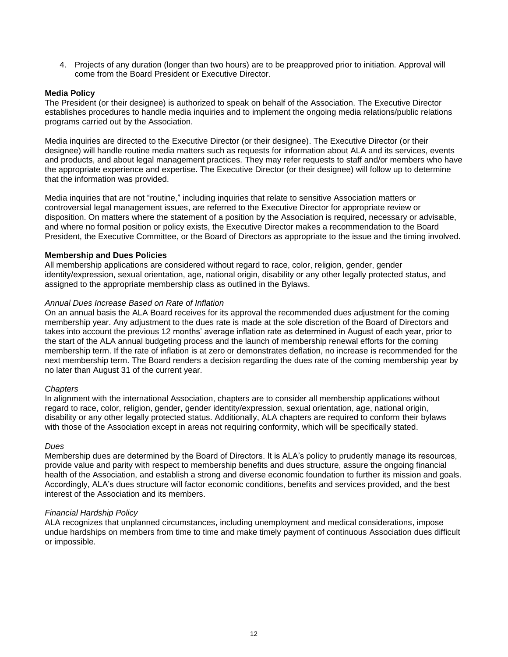4. Projects of any duration (longer than two hours) are to be preapproved prior to initiation. Approval will come from the Board President or Executive Director.

# <span id="page-15-0"></span>**Media Policy**

The President (or their designee) is authorized to speak on behalf of the Association. The Executive Director establishes procedures to handle media inquiries and to implement the ongoing media relations/public relations programs carried out by the Association.

Media inquiries are directed to the Executive Director (or their designee). The Executive Director (or their designee) will handle routine media matters such as requests for information about ALA and its services, events and products, and about legal management practices. They may refer requests to staff and/or members who have the appropriate experience and expertise. The Executive Director (or their designee) will follow up to determine that the information was provided.

Media inquiries that are not "routine," including inquiries that relate to sensitive Association matters or controversial legal management issues, are referred to the Executive Director for appropriate review or disposition. On matters where the statement of a position by the Association is required, necessary or advisable, and where no formal position or policy exists, the Executive Director makes a recommendation to the Board President, the Executive Committee, or the Board of Directors as appropriate to the issue and the timing involved.

# <span id="page-15-1"></span>**Membership and Dues Policies**

All membership applications are considered without regard to race, color, religion, gender, gender identity/expression, sexual orientation, age, national origin, disability or any other legally protected status, and assigned to the appropriate membership class as outlined in the Bylaws.

#### *Annual Dues Increase Based on Rate of Inflation*

On an annual basis the ALA Board receives for its approval the recommended dues adjustment for the coming membership year. Any adjustment to the dues rate is made at the sole discretion of the Board of Directors and takes into account the previous 12 months' average inflation rate as determined in August of each year, prior to the start of the ALA annual budgeting process and the launch of membership renewal efforts for the coming membership term. If the rate of inflation is at zero or demonstrates deflation, no increase is recommended for the next membership term. The Board renders a decision regarding the dues rate of the coming membership year by no later than August 31 of the current year.

# *Chapters*

In alignment with the international Association, chapters are to consider all membership applications without regard to race, color, religion, gender, gender identity/expression, sexual orientation, age, national origin, disability or any other legally protected status. Additionally, ALA chapters are required to conform their bylaws with those of the Association except in areas not requiring conformity, which will be specifically stated.

# *Dues*

Membership dues are determined by the Board of Directors. It is ALA's policy to prudently manage its resources, provide value and parity with respect to membership benefits and dues structure, assure the ongoing financial health of the Association, and establish a strong and diverse economic foundation to further its mission and goals. Accordingly, ALA's dues structure will factor economic conditions, benefits and services provided, and the best interest of the Association and its members.

# *Financial Hardship Policy*

ALA recognizes that unplanned circumstances, including unemployment and medical considerations, impose undue hardships on members from time to time and make timely payment of continuous Association dues difficult or impossible.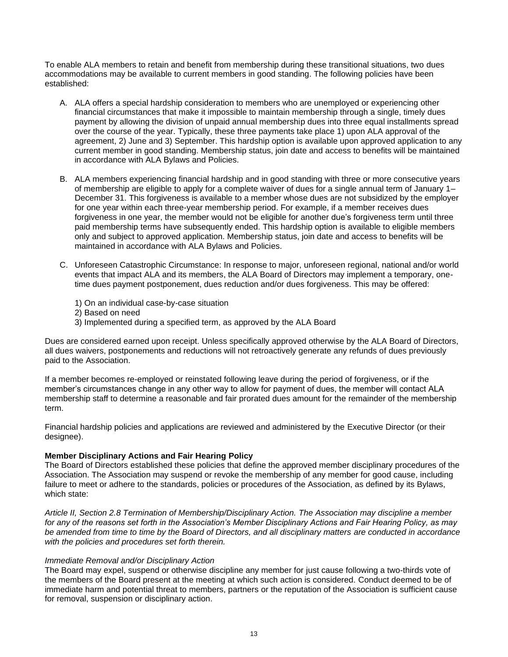To enable ALA members to retain and benefit from membership during these transitional situations, two dues accommodations may be available to current members in good standing. The following policies have been established:

- A. ALA offers a special hardship consideration to members who are unemployed or experiencing other financial circumstances that make it impossible to maintain membership through a single, timely dues payment by allowing the division of unpaid annual membership dues into three equal installments spread over the course of the year. Typically, these three payments take place 1) upon ALA approval of the agreement, 2) June and 3) September. This hardship option is available upon approved application to any current member in good standing. Membership status, join date and access to benefits will be maintained in accordance with ALA Bylaws and Policies.
- B. ALA members experiencing financial hardship and in good standing with three or more consecutive years of membership are eligible to apply for a complete waiver of dues for a single annual term of January 1– December 31. This forgiveness is available to a member whose dues are not subsidized by the employer for one year within each three-year membership period. For example, if a member receives dues forgiveness in one year, the member would not be eligible for another due's forgiveness term until three paid membership terms have subsequently ended. This hardship option is available to eligible members only and subject to approved application. Membership status, join date and access to benefits will be maintained in accordance with ALA Bylaws and Policies.
- C. Unforeseen Catastrophic Circumstance: In response to major, unforeseen regional, national and/or world events that impact ALA and its members, the ALA Board of Directors may implement a temporary, onetime dues payment postponement, dues reduction and/or dues forgiveness. This may be offered:
	- 1) On an individual case-by-case situation
	- 2) Based on need
	- 3) Implemented during a specified term, as approved by the ALA Board

Dues are considered earned upon receipt. Unless specifically approved otherwise by the ALA Board of Directors, all dues waivers, postponements and reductions will not retroactively generate any refunds of dues previously paid to the Association.

If a member becomes re-employed or reinstated following leave during the period of forgiveness, or if the member's circumstances change in any other way to allow for payment of dues, the member will contact ALA membership staff to determine a reasonable and fair prorated dues amount for the remainder of the membership term.

Financial hardship policies and applications are reviewed and administered by the Executive Director (or their designee).

# <span id="page-16-0"></span>**Member Disciplinary Actions and Fair Hearing Policy**

The Board of Directors established these policies that define the approved member disciplinary procedures of the Association. The Association may suspend or revoke the membership of any member for good cause, including failure to meet or adhere to the standards, policies or procedures of the Association, as defined by its Bylaws, which state:

*Article II, Section 2.8 Termination of Membership/Disciplinary Action. The Association may discipline a member for any of the reasons set forth in the Association's Member Disciplinary Actions and Fair Hearing Policy, as may be amended from time to time by the Board of Directors, and all disciplinary matters are conducted in accordance with the policies and procedures set forth therein.*

# *Immediate Removal and/or Disciplinary Action*

The Board may expel, suspend or otherwise discipline any member for just cause following a two-thirds vote of the members of the Board present at the meeting at which such action is considered. Conduct deemed to be of immediate harm and potential threat to members, partners or the reputation of the Association is sufficient cause for removal, suspension or disciplinary action.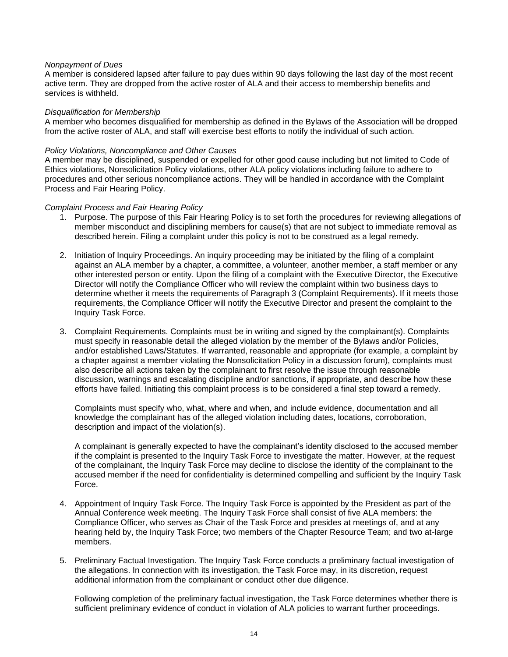#### *Nonpayment of Dues*

A member is considered lapsed after failure to pay dues within 90 days following the last day of the most recent active term. They are dropped from the active roster of ALA and their access to membership benefits and services is withheld.

#### *Disqualification for Membership*

A member who becomes disqualified for membership as defined in the Bylaws of the Association will be dropped from the active roster of ALA, and staff will exercise best efforts to notify the individual of such action.

#### *Policy Violations, Noncompliance and Other Causes*

A member may be disciplined, suspended or expelled for other good cause including but not limited to Code of Ethics violations, Nonsolicitation Policy violations, other ALA policy violations including failure to adhere to procedures and other serious noncompliance actions. They will be handled in accordance with the Complaint Process and Fair Hearing Policy.

#### *Complaint Process and Fair Hearing Policy*

- 1. Purpose. The purpose of this Fair Hearing Policy is to set forth the procedures for reviewing allegations of member misconduct and disciplining members for cause(s) that are not subject to immediate removal as described herein. Filing a complaint under this policy is not to be construed as a legal remedy.
- 2. Initiation of Inquiry Proceedings. An inquiry proceeding may be initiated by the filing of a complaint against an ALA member by a chapter, a committee, a volunteer, another member, a staff member or any other interested person or entity. Upon the filing of a complaint with the Executive Director, the Executive Director will notify the Compliance Officer who will review the complaint within two business days to determine whether it meets the requirements of Paragraph 3 (Complaint Requirements). If it meets those requirements, the Compliance Officer will notify the Executive Director and present the complaint to the Inquiry Task Force.
- 3. Complaint Requirements. Complaints must be in writing and signed by the complainant(s). Complaints must specify in reasonable detail the alleged violation by the member of the Bylaws and/or Policies, and/or established Laws/Statutes. If warranted, reasonable and appropriate (for example, a complaint by a chapter against a member violating the Nonsolicitation Policy in a discussion forum), complaints must also describe all actions taken by the complainant to first resolve the issue through reasonable discussion, warnings and escalating discipline and/or sanctions, if appropriate, and describe how these efforts have failed. Initiating this complaint process is to be considered a final step toward a remedy.

Complaints must specify who, what, where and when, and include evidence, documentation and all knowledge the complainant has of the alleged violation including dates, locations, corroboration, description and impact of the violation(s).

A complainant is generally expected to have the complainant's identity disclosed to the accused member if the complaint is presented to the Inquiry Task Force to investigate the matter. However, at the request of the complainant, the Inquiry Task Force may decline to disclose the identity of the complainant to the accused member if the need for confidentiality is determined compelling and sufficient by the Inquiry Task Force.

- 4. Appointment of Inquiry Task Force. The Inquiry Task Force is appointed by the President as part of the Annual Conference week meeting. The Inquiry Task Force shall consist of five ALA members: the Compliance Officer, who serves as Chair of the Task Force and presides at meetings of, and at any hearing held by, the Inquiry Task Force; two members of the Chapter Resource Team; and two at-large members.
- 5. Preliminary Factual Investigation. The Inquiry Task Force conducts a preliminary factual investigation of the allegations. In connection with its investigation, the Task Force may, in its discretion, request additional information from the complainant or conduct other due diligence.

Following completion of the preliminary factual investigation, the Task Force determines whether there is sufficient preliminary evidence of conduct in violation of ALA policies to warrant further proceedings.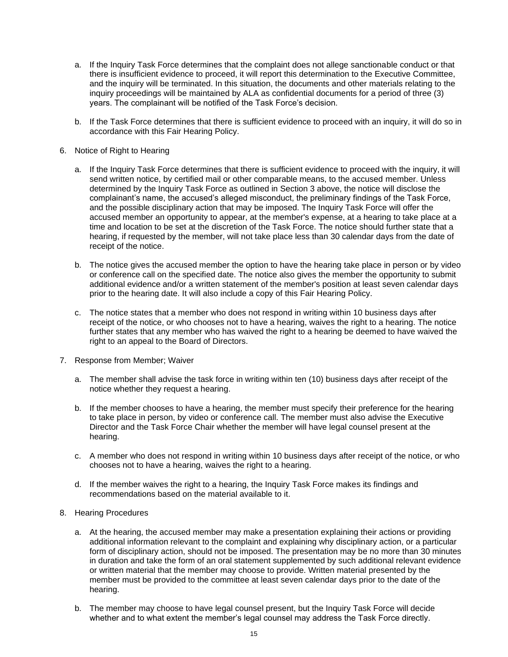- a. If the Inquiry Task Force determines that the complaint does not allege sanctionable conduct or that there is insufficient evidence to proceed, it will report this determination to the Executive Committee, and the inquiry will be terminated. In this situation, the documents and other materials relating to the inquiry proceedings will be maintained by ALA as confidential documents for a period of three (3) years. The complainant will be notified of the Task Force's decision.
- b. If the Task Force determines that there is sufficient evidence to proceed with an inquiry, it will do so in accordance with this Fair Hearing Policy.
- 6. Notice of Right to Hearing
	- a. If the Inquiry Task Force determines that there is sufficient evidence to proceed with the inquiry, it will send written notice, by certified mail or other comparable means, to the accused member. Unless determined by the Inquiry Task Force as outlined in Section 3 above, the notice will disclose the complainant's name, the accused's alleged misconduct, the preliminary findings of the Task Force, and the possible disciplinary action that may be imposed. The Inquiry Task Force will offer the accused member an opportunity to appear, at the member's expense, at a hearing to take place at a time and location to be set at the discretion of the Task Force. The notice should further state that a hearing, if requested by the member, will not take place less than 30 calendar days from the date of receipt of the notice.
	- b. The notice gives the accused member the option to have the hearing take place in person or by video or conference call on the specified date. The notice also gives the member the opportunity to submit additional evidence and/or a written statement of the member's position at least seven calendar days prior to the hearing date. It will also include a copy of this Fair Hearing Policy.
	- c. The notice states that a member who does not respond in writing within 10 business days after receipt of the notice, or who chooses not to have a hearing, waives the right to a hearing. The notice further states that any member who has waived the right to a hearing be deemed to have waived the right to an appeal to the Board of Directors.
- 7. Response from Member; Waiver
	- a. The member shall advise the task force in writing within ten (10) business days after receipt of the notice whether they request a hearing.
	- b. If the member chooses to have a hearing, the member must specify their preference for the hearing to take place in person, by video or conference call. The member must also advise the Executive Director and the Task Force Chair whether the member will have legal counsel present at the hearing.
	- c. A member who does not respond in writing within 10 business days after receipt of the notice, or who chooses not to have a hearing, waives the right to a hearing.
	- d. If the member waives the right to a hearing, the Inquiry Task Force makes its findings and recommendations based on the material available to it.
- 8. Hearing Procedures
	- a. At the hearing, the accused member may make a presentation explaining their actions or providing additional information relevant to the complaint and explaining why disciplinary action, or a particular form of disciplinary action, should not be imposed. The presentation may be no more than 30 minutes in duration and take the form of an oral statement supplemented by such additional relevant evidence or written material that the member may choose to provide. Written material presented by the member must be provided to the committee at least seven calendar days prior to the date of the hearing.
	- b. The member may choose to have legal counsel present, but the Inquiry Task Force will decide whether and to what extent the member's legal counsel may address the Task Force directly.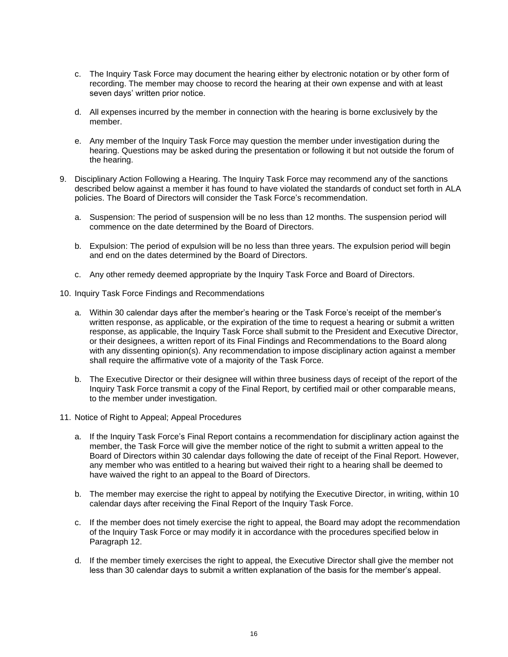- c. The Inquiry Task Force may document the hearing either by electronic notation or by other form of recording. The member may choose to record the hearing at their own expense and with at least seven days' written prior notice.
- d. All expenses incurred by the member in connection with the hearing is borne exclusively by the member.
- e. Any member of the Inquiry Task Force may question the member under investigation during the hearing. Questions may be asked during the presentation or following it but not outside the forum of the hearing.
- 9. Disciplinary Action Following a Hearing. The Inquiry Task Force may recommend any of the sanctions described below against a member it has found to have violated the standards of conduct set forth in ALA policies. The Board of Directors will consider the Task Force's recommendation.
	- a. Suspension: The period of suspension will be no less than 12 months. The suspension period will commence on the date determined by the Board of Directors.
	- b. Expulsion: The period of expulsion will be no less than three years. The expulsion period will begin and end on the dates determined by the Board of Directors.
	- c. Any other remedy deemed appropriate by the Inquiry Task Force and Board of Directors.
- 10. Inquiry Task Force Findings and Recommendations
	- a. Within 30 calendar days after the member's hearing or the Task Force's receipt of the member's written response, as applicable, or the expiration of the time to request a hearing or submit a written response, as applicable, the Inquiry Task Force shall submit to the President and Executive Director, or their designees, a written report of its Final Findings and Recommendations to the Board along with any dissenting opinion(s). Any recommendation to impose disciplinary action against a member shall require the affirmative vote of a majority of the Task Force.
	- b. The Executive Director or their designee will within three business days of receipt of the report of the Inquiry Task Force transmit a copy of the Final Report, by certified mail or other comparable means, to the member under investigation.
- 11. Notice of Right to Appeal; Appeal Procedures
	- a. If the Inquiry Task Force's Final Report contains a recommendation for disciplinary action against the member, the Task Force will give the member notice of the right to submit a written appeal to the Board of Directors within 30 calendar days following the date of receipt of the Final Report. However, any member who was entitled to a hearing but waived their right to a hearing shall be deemed to have waived the right to an appeal to the Board of Directors.
	- b. The member may exercise the right to appeal by notifying the Executive Director, in writing, within 10 calendar days after receiving the Final Report of the Inquiry Task Force.
	- c. If the member does not timely exercise the right to appeal, the Board may adopt the recommendation of the Inquiry Task Force or may modify it in accordance with the procedures specified below in Paragraph 12.
	- d. If the member timely exercises the right to appeal, the Executive Director shall give the member not less than 30 calendar days to submit a written explanation of the basis for the member's appeal.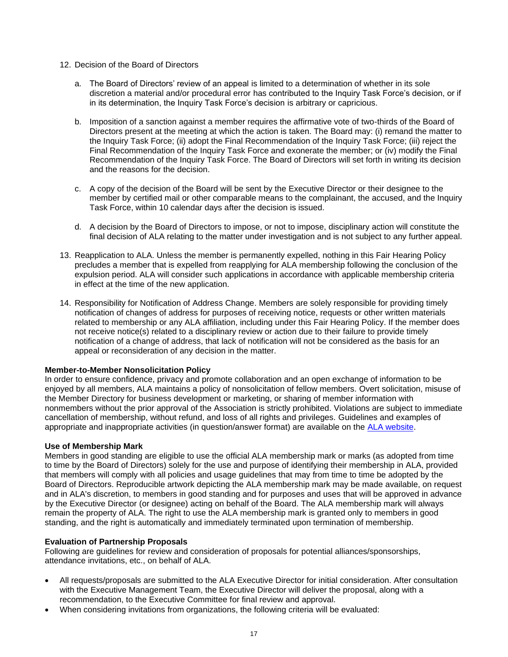- 12. Decision of the Board of Directors
	- a. The Board of Directors' review of an appeal is limited to a determination of whether in its sole discretion a material and/or procedural error has contributed to the Inquiry Task Force's decision, or if in its determination, the Inquiry Task Force's decision is arbitrary or capricious.
	- b. Imposition of a sanction against a member requires the affirmative vote of two-thirds of the Board of Directors present at the meeting at which the action is taken. The Board may: (i) remand the matter to the Inquiry Task Force; (ii) adopt the Final Recommendation of the Inquiry Task Force; (iii) reject the Final Recommendation of the Inquiry Task Force and exonerate the member; or (iv) modify the Final Recommendation of the Inquiry Task Force. The Board of Directors will set forth in writing its decision and the reasons for the decision.
	- c. A copy of the decision of the Board will be sent by the Executive Director or their designee to the member by certified mail or other comparable means to the complainant, the accused, and the Inquiry Task Force, within 10 calendar days after the decision is issued.
	- d. A decision by the Board of Directors to impose, or not to impose, disciplinary action will constitute the final decision of ALA relating to the matter under investigation and is not subject to any further appeal.
- 13. Reapplication to ALA. Unless the member is permanently expelled, nothing in this Fair Hearing Policy precludes a member that is expelled from reapplying for ALA membership following the conclusion of the expulsion period. ALA will consider such applications in accordance with applicable membership criteria in effect at the time of the new application.
- 14. Responsibility for Notification of Address Change. Members are solely responsible for providing timely notification of changes of address for purposes of receiving notice, requests or other written materials related to membership or any ALA affiliation, including under this Fair Hearing Policy. If the member does not receive notice(s) related to a disciplinary review or action due to their failure to provide timely notification of a change of address, that lack of notification will not be considered as the basis for an appeal or reconsideration of any decision in the matter.

# <span id="page-20-0"></span>**Member-to-Member Nonsolicitation Policy**

In order to ensure confidence, privacy and promote collaboration and an open exchange of information to be enjoyed by all members, ALA maintains a policy of nonsolicitation of fellow members. Overt solicitation, misuse of the Member Directory for business development or marketing, or sharing of member information with nonmembers without the prior approval of the Association is strictly prohibited. Violations are subject to immediate cancellation of membership, without refund, and loss of all rights and privileges. Guidelines and examples of appropriate and inappropriate activities (in question/answer format) are available on the [ALA website.](http://www.alanet.org/docs/default-source/default-document-library/3-ala-non-solicitation-policy.pdf?sfvrsn=0)

# <span id="page-20-1"></span>**Use of Membership Mark**

Members in good standing are eligible to use the official ALA membership mark or marks (as adopted from time to time by the Board of Directors) solely for the use and purpose of identifying their membership in ALA, provided that members will comply with all policies and usage guidelines that may from time to time be adopted by the Board of Directors. Reproducible artwork depicting the ALA membership mark may be made available, on request and in ALA's discretion, to members in good standing and for purposes and uses that will be approved in advance by the Executive Director (or designee) acting on behalf of the Board. The ALA membership mark will always remain the property of ALA. The right to use the ALA membership mark is granted only to members in good standing, and the right is automatically and immediately terminated upon termination of membership.

# <span id="page-20-2"></span>**Evaluation of Partnership Proposals**

Following are guidelines for review and consideration of proposals for potential alliances/sponsorships, attendance invitations, etc., on behalf of ALA.

- All requests/proposals are submitted to the ALA Executive Director for initial consideration. After consultation with the Executive Management Team, the Executive Director will deliver the proposal, along with a recommendation, to the Executive Committee for final review and approval.
- When considering invitations from organizations, the following criteria will be evaluated: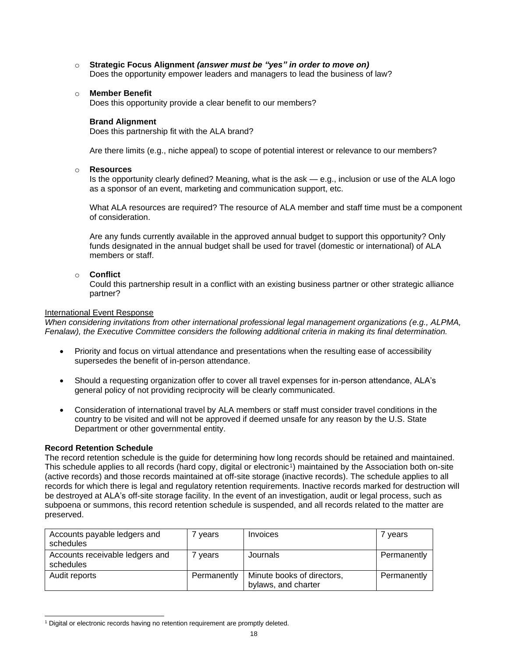- o **Strategic Focus Alignment** *(answer must be "yes" in order to move on)* Does the opportunity empower leaders and managers to lead the business of law?
- o **Member Benefit**

Does this opportunity provide a clear benefit to our members?

#### **Brand Alignment**

Does this partnership fit with the ALA brand?

Are there limits (e.g., niche appeal) to scope of potential interest or relevance to our members?

#### o **Resources**

Is the opportunity clearly defined? Meaning, what is the ask — e.g., inclusion or use of the ALA logo as a sponsor of an event, marketing and communication support, etc.

What ALA resources are required? The resource of ALA member and staff time must be a component of consideration.

Are any funds currently available in the approved annual budget to support this opportunity? Only funds designated in the annual budget shall be used for travel (domestic or international) of ALA members or staff.

# o **Conflict**

Could this partnership result in a conflict with an existing business partner or other strategic alliance partner?

#### International Event Response

*When considering invitations from other international professional legal management organizations (e.g., ALPMA, Fenalaw), the Executive Committee considers the following additional criteria in making its final determination.*

- Priority and focus on virtual attendance and presentations when the resulting ease of accessibility supersedes the benefit of in-person attendance.
- Should a requesting organization offer to cover all travel expenses for in-person attendance, ALA's general policy of not providing reciprocity will be clearly communicated.
- Consideration of international travel by ALA members or staff must consider travel conditions in the country to be visited and will not be approved if deemed unsafe for any reason by the U.S. State Department or other governmental entity.

# <span id="page-21-0"></span>**Record Retention Schedule**

The record retention schedule is the guide for determining how long records should be retained and maintained. This schedule applies to all records (hard copy, digital or electronic<sup>1</sup>) maintained by the Association both on-site (active records) and those records maintained at off-site storage (inactive records). The schedule applies to all records for which there is legal and regulatory retention requirements. Inactive records marked for destruction will be destroyed at ALA's off-site storage facility. In the event of an investigation, audit or legal process, such as subpoena or summons, this record retention schedule is suspended, and all records related to the matter are preserved.

| Accounts payable ledgers and<br>schedules    | vears       | Invoices                                          | vears       |
|----------------------------------------------|-------------|---------------------------------------------------|-------------|
| Accounts receivable ledgers and<br>schedules | ' vears     | Journals                                          | Permanently |
| Audit reports                                | Permanently | Minute books of directors,<br>bylaws, and charter | Permanently |

<sup>1</sup> Digital or electronic records having no retention requirement are promptly deleted.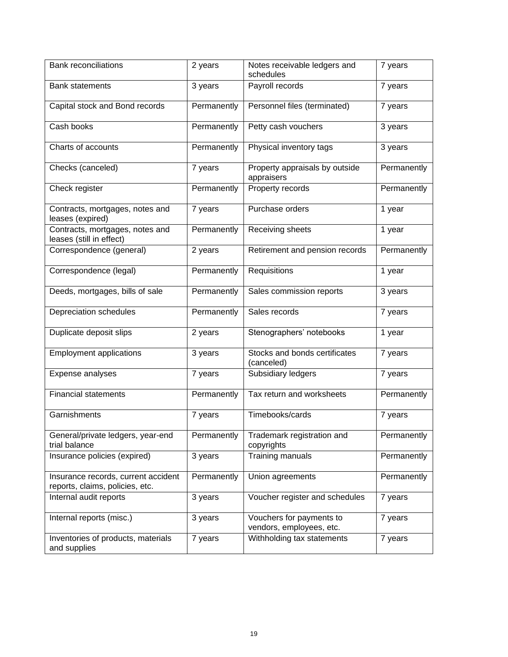| <b>Bank reconciliations</b>                                            | 2 years     | Notes receivable ledgers and<br>schedules            | 7 years     |
|------------------------------------------------------------------------|-------------|------------------------------------------------------|-------------|
| <b>Bank statements</b>                                                 | 3 years     | Payroll records                                      | 7 years     |
| Capital stock and Bond records                                         | Permanently | Personnel files (terminated)                         | 7 years     |
| Cash books                                                             | Permanently | Petty cash vouchers                                  | 3 years     |
| Charts of accounts                                                     | Permanently | Physical inventory tags                              | 3 years     |
| Checks (canceled)                                                      | 7 years     | Property appraisals by outside<br>appraisers         | Permanently |
| Check register                                                         | Permanently | Property records                                     | Permanently |
| Contracts, mortgages, notes and<br>leases (expired)                    | 7 years     | Purchase orders                                      | 1 year      |
| Contracts, mortgages, notes and<br>leases (still in effect)            | Permanently | Receiving sheets                                     | 1 year      |
| Correspondence (general)                                               | 2 years     | Retirement and pension records                       | Permanently |
| Correspondence (legal)                                                 | Permanently | Requisitions                                         | 1 year      |
| Deeds, mortgages, bills of sale                                        | Permanently | Sales commission reports                             | 3 years     |
| Depreciation schedules                                                 | Permanently | Sales records                                        | 7 years     |
| Duplicate deposit slips                                                | 2 years     | Stenographers' notebooks                             | 1 year      |
| <b>Employment applications</b>                                         | 3 years     | Stocks and bonds certificates<br>(canceled)          | 7 years     |
| Expense analyses                                                       | 7 years     | Subsidiary ledgers                                   | 7 years     |
| <b>Financial statements</b>                                            | Permanently | Tax return and worksheets                            | Permanently |
| Garnishments                                                           | 7 years     | Timebooks/cards                                      | 7 years     |
| General/private ledgers, year-end<br>trial balance                     | Permanently | Trademark registration and<br>copyrights             | Permanently |
| Insurance policies (expired)                                           | 3 years     | Training manuals                                     | Permanently |
| Insurance records, current accident<br>reports, claims, policies, etc. | Permanently | Union agreements                                     | Permanently |
| Internal audit reports                                                 | 3 years     | Voucher register and schedules                       | 7 years     |
| Internal reports (misc.)                                               | 3 years     | Vouchers for payments to<br>vendors, employees, etc. | 7 years     |
| Inventories of products, materials<br>and supplies                     | 7 years     | Withholding tax statements                           | 7 years     |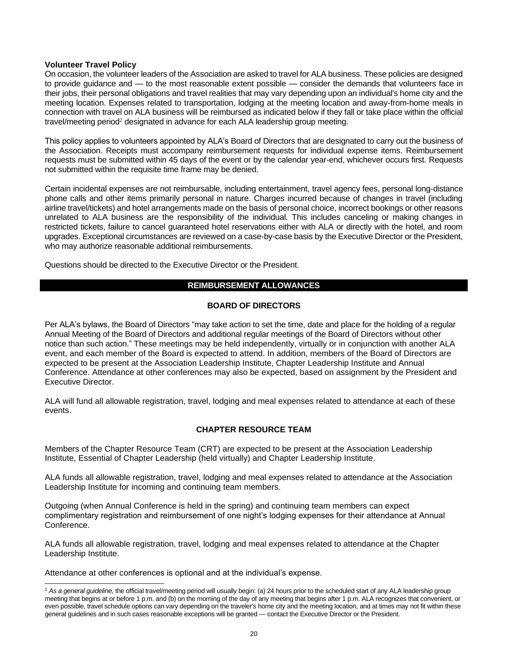# <span id="page-23-0"></span>**Volunteer Travel Policy**

On occasion, the volunteer leaders of the Association are asked to travel for ALA business. These policies are designed to provide guidance and — to the most reasonable extent possible — consider the demands that volunteers face in their jobs, their personal obligations and travel realities that may vary depending upon an individual's home city and the meeting location. Expenses related to transportation, lodging at the meeting location and away-from-home meals in connection with travel on ALA business will be reimbursed as indicated below if they fall or take place within the official travel/meeting period<sup>2</sup> designated in advance for each ALA leadership group meeting.

This policy applies to volunteers appointed by ALA's Board of Directors that are designated to carry out the business of the Association. Receipts must accompany reimbursement requests for individual expense items. Reimbursement requests must be submitted within 45 days of the event or by the calendar year-end, whichever occurs first. Requests not submitted within the requisite time frame may be denied.

Certain incidental expenses are not reimbursable, including entertainment, travel agency fees, personal long-distance phone calls and other items primarily personal in nature. Charges incurred because of changes in travel (including airline travel/tickets) and hotel arrangements made on the basis of personal choice, incorrect bookings or other reasons unrelated to ALA business are the responsibility of the individual. This includes canceling or making changes in restricted tickets, failure to cancel guaranteed hotel reservations either with ALA or directly with the hotel, and room upgrades. Exceptional circumstances are reviewed on a case-by-case basis by the Executive Director or the President, who may authorize reasonable additional reimbursements.

Questions should be directed to the Executive Director or the President.

# **REIMBURSEMENT ALLOWANCES**

# **BOARD OF DIRECTORS**

Per ALA's bylaws, the Board of Directors "may take action to set the time, date and place for the holding of a regular Annual Meeting of the Board of Directors and additional regular meetings of the Board of Directors without other notice than such action." These meetings may be held independently, virtually or in conjunction with another ALA event, and each member of the Board is expected to attend. In addition, members of the Board of Directors are expected to be present at the Association Leadership Institute, Chapter Leadership Institute and Annual Conference. Attendance at other conferences may also be expected, based on assignment by the President and Executive Director.

ALA will fund all allowable registration, travel, lodging and meal expenses related to attendance at each of these events.

# **CHAPTER RESOURCE TEAM**

Members of the Chapter Resource Team (CRT) are expected to be present at the Association Leadership Institute, Essential of Chapter Leadership (held virtually) and Chapter Leadership Institute.

ALA funds all allowable registration, travel, lodging and meal expenses related to attendance at the Association Leadership Institute for incoming and continuing team members.

Outgoing (when Annual Conference is held in the spring) and continuing team members can expect complimentary registration and reimbursement of one night's lodging expenses for their attendance at Annual Conference.

ALA funds all allowable registration, travel, lodging and meal expenses related to attendance at the Chapter Leadership Institute.

Attendance at other conferences is optional and at the individual's expense.

<sup>&</sup>lt;sup>2</sup> As a general guideline, the official travel/meeting period will usually begin: (a) 24 hours prior to the scheduled start of any ALA leadership group meeting that begins at or before 1 p.m. and (b) on the morning of the day of any meeting that begins after 1 p.m. ALA recognizes that convenient, or even possible, travel schedule options can vary depending on the traveler's home city and the meeting location, and at times may not fit within these general guidelines and in such cases reasonable exceptions will be granted — contact the Executive Director or the President.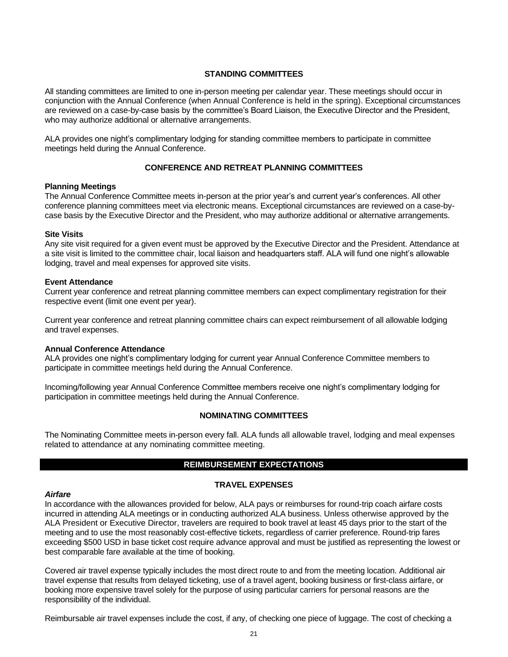# **STANDING COMMITTEES**

All standing committees are limited to one in-person meeting per calendar year. These meetings should occur in conjunction with the Annual Conference (when Annual Conference is held in the spring). Exceptional circumstances are reviewed on a case-by-case basis by the committee's Board Liaison, the Executive Director and the President, who may authorize additional or alternative arrangements.

ALA provides one night's complimentary lodging for standing committee members to participate in committee meetings held during the Annual Conference.

# **CONFERENCE AND RETREAT PLANNING COMMITTEES**

# **Planning Meetings**

The Annual Conference Committee meets in-person at the prior year's and current year's conferences. All other conference planning committees meet via electronic means. Exceptional circumstances are reviewed on a case-bycase basis by the Executive Director and the President, who may authorize additional or alternative arrangements.

#### **Site Visits**

Any site visit required for a given event must be approved by the Executive Director and the President. Attendance at a site visit is limited to the committee chair, local liaison and headquarters staff. ALA will fund one night's allowable lodging, travel and meal expenses for approved site visits.

#### **Event Attendance**

Current year conference and retreat planning committee members can expect complimentary registration for their respective event (limit one event per year).

Current year conference and retreat planning committee chairs can expect reimbursement of all allowable lodging and travel expenses.

# **Annual Conference Attendance**

ALA provides one night's complimentary lodging for current year Annual Conference Committee members to participate in committee meetings held during the Annual Conference.

Incoming/following year Annual Conference Committee members receive one night's complimentary lodging for participation in committee meetings held during the Annual Conference.

# **NOMINATING COMMITTEES**

The Nominating Committee meets in-person every fall. ALA funds all allowable travel, lodging and meal expenses related to attendance at any nominating committee meeting.

# **REIMBURSEMENT EXPECTATIONS**

# **TRAVEL EXPENSES**

#### *Airfare*

In accordance with the allowances provided for below, ALA pays or reimburses for round-trip coach airfare costs incurred in attending ALA meetings or in conducting authorized ALA business. Unless otherwise approved by the ALA President or Executive Director, travelers are required to book travel at least 45 days prior to the start of the meeting and to use the most reasonably cost-effective tickets, regardless of carrier preference. Round-trip fares exceeding \$500 USD in base ticket cost require advance approval and must be justified as representing the lowest or best comparable fare available at the time of booking.

Covered air travel expense typically includes the most direct route to and from the meeting location. Additional air travel expense that results from delayed ticketing, use of a travel agent, booking business or first-class airfare, or booking more expensive travel solely for the purpose of using particular carriers for personal reasons are the responsibility of the individual.

Reimbursable air travel expenses include the cost, if any, of checking one piece of luggage. The cost of checking a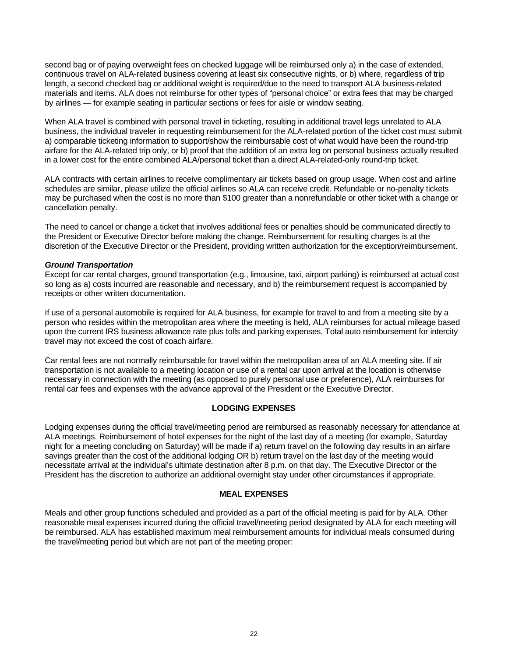second bag or of paying overweight fees on checked luggage will be reimbursed only a) in the case of extended, continuous travel on ALA-related business covering at least six consecutive nights, or b) where, regardless of trip length, a second checked bag or additional weight is required/due to the need to transport ALA business-related materials and items. ALA does not reimburse for other types of "personal choice" or extra fees that may be charged by airlines — for example seating in particular sections or fees for aisle or window seating.

When ALA travel is combined with personal travel in ticketing, resulting in additional travel legs unrelated to ALA business, the individual traveler in requesting reimbursement for the ALA-related portion of the ticket cost must submit a) comparable ticketing information to support/show the reimbursable cost of what would have been the round-trip airfare for the ALA-related trip only, or b) proof that the addition of an extra leg on personal business actually resulted in a lower cost for the entire combined ALA/personal ticket than a direct ALA-related-only round-trip ticket.

ALA contracts with certain airlines to receive complimentary air tickets based on group usage. When cost and airline schedules are similar, please utilize the official airlines so ALA can receive credit. Refundable or no-penalty tickets may be purchased when the cost is no more than \$100 greater than a nonrefundable or other ticket with a change or cancellation penalty.

The need to cancel or change a ticket that involves additional fees or penalties should be communicated directly to the President or Executive Director before making the change. Reimbursement for resulting charges is at the discretion of the Executive Director or the President, providing written authorization for the exception/reimbursement.

# *Ground Transportation*

Except for car rental charges, ground transportation (e.g., limousine, taxi, airport parking) is reimbursed at actual cost so long as a) costs incurred are reasonable and necessary, and b) the reimbursement request is accompanied by receipts or other written documentation.

If use of a personal automobile is required for ALA business, for example for travel to and from a meeting site by a person who resides within the metropolitan area where the meeting is held, ALA reimburses for actual mileage based upon the current IRS business allowance rate plus tolls and parking expenses. Total auto reimbursement for intercity travel may not exceed the cost of coach airfare.

Car rental fees are not normally reimbursable for travel within the metropolitan area of an ALA meeting site. If air transportation is not available to a meeting location or use of a rental car upon arrival at the location is otherwise necessary in connection with the meeting (as opposed to purely personal use or preference), ALA reimburses for rental car fees and expenses with the advance approval of the President or the Executive Director.

# **LODGING EXPENSES**

Lodging expenses during the official travel/meeting period are reimbursed as reasonably necessary for attendance at ALA meetings. Reimbursement of hotel expenses for the night of the last day of a meeting (for example, Saturday night for a meeting concluding on Saturday) will be made if a) return travel on the following day results in an airfare savings greater than the cost of the additional lodging OR b) return travel on the last day of the meeting would necessitate arrival at the individual's ultimate destination after 8 p.m. on that day. The Executive Director or the President has the discretion to authorize an additional overnight stay under other circumstances if appropriate.

# **MEAL EXPENSES**

Meals and other group functions scheduled and provided as a part of the official meeting is paid for by ALA. Other reasonable meal expenses incurred during the official travel/meeting period designated by ALA for each meeting will be reimbursed. ALA has established maximum meal reimbursement amounts for individual meals consumed during the travel/meeting period but which are not part of the meeting proper: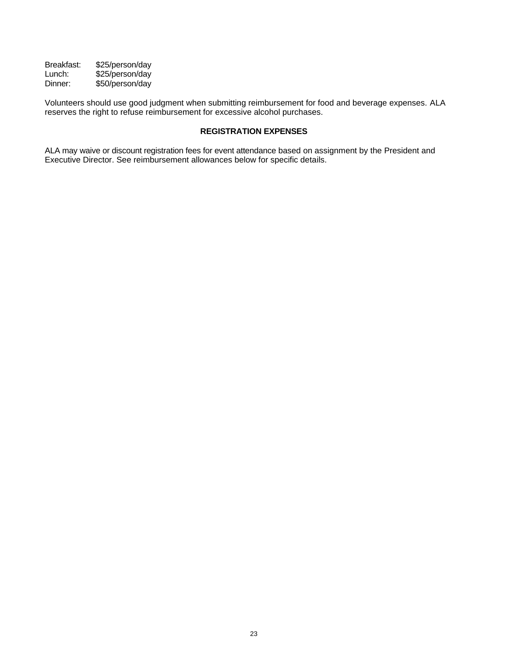Breakfast: \$25/person/day<br>Lunch: \$25/person/day Lunch: \$25/person/day<br>Dinner: \$50/person/day \$50/person/day

Volunteers should use good judgment when submitting reimbursement for food and beverage expenses. ALA reserves the right to refuse reimbursement for excessive alcohol purchases.

# **REGISTRATION EXPENSES**

ALA may waive or discount registration fees for event attendance based on assignment by the President and Executive Director. See reimbursement allowances below for specific details.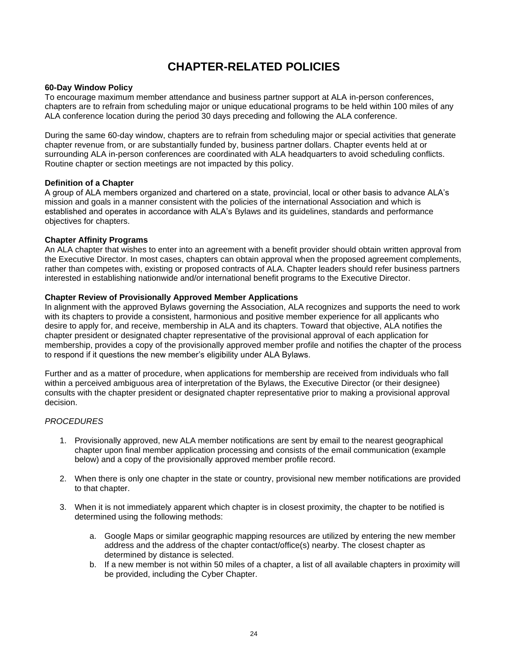# **CHAPTER-RELATED POLICIES**

# <span id="page-27-1"></span><span id="page-27-0"></span>**60-Day Window Policy**

To encourage maximum member attendance and business partner support at ALA in-person conferences, chapters are to refrain from scheduling major or unique educational programs to be held within 100 miles of any ALA conference location during the period 30 days preceding and following the ALA conference.

During the same 60-day window, chapters are to refrain from scheduling major or special activities that generate chapter revenue from, or are substantially funded by, business partner dollars. Chapter events held at or surrounding ALA in-person conferences are coordinated with ALA headquarters to avoid scheduling conflicts. Routine chapter or section meetings are not impacted by this policy.

# <span id="page-27-2"></span>**Definition of a Chapter**

A group of ALA members organized and chartered on a state, provincial, local or other basis to advance ALA's mission and goals in a manner consistent with the policies of the international Association and which is established and operates in accordance with ALA's Bylaws and its guidelines, standards and performance objectives for chapters.

# <span id="page-27-3"></span>**Chapter Affinity Programs**

An ALA chapter that wishes to enter into an agreement with a benefit provider should obtain written approval from the Executive Director. In most cases, chapters can obtain approval when the proposed agreement complements, rather than competes with, existing or proposed contracts of ALA. Chapter leaders should refer business partners interested in establishing nationwide and/or international benefit programs to the Executive Director.

#### <span id="page-27-4"></span>**Chapter Review of Provisionally Approved Member Applications**

In alignment with the approved Bylaws governing the Association, ALA recognizes and supports the need to work with its chapters to provide a consistent, harmonious and positive member experience for all applicants who desire to apply for, and receive, membership in ALA and its chapters. Toward that objective, ALA notifies the chapter president or designated chapter representative of the provisional approval of each application for membership, provides a copy of the provisionally approved member profile and notifies the chapter of the process to respond if it questions the new member's eligibility under ALA Bylaws.

Further and as a matter of procedure, when applications for membership are received from individuals who fall within a perceived ambiguous area of interpretation of the Bylaws, the Executive Director (or their designee) consults with the chapter president or designated chapter representative prior to making a provisional approval decision.

# *PROCEDURES*

- 1. Provisionally approved, new ALA member notifications are sent by email to the nearest geographical chapter upon final member application processing and consists of the email communication (example below) and a copy of the provisionally approved member profile record.
- 2. When there is only one chapter in the state or country, provisional new member notifications are provided to that chapter.
- 3. When it is not immediately apparent which chapter is in closest proximity, the chapter to be notified is determined using the following methods:
	- a. Google Maps or similar geographic mapping resources are utilized by entering the new member address and the address of the chapter contact/office(s) nearby. The closest chapter as determined by distance is selected.
	- b. If a new member is not within 50 miles of a chapter, a list of all available chapters in proximity will be provided, including the Cyber Chapter.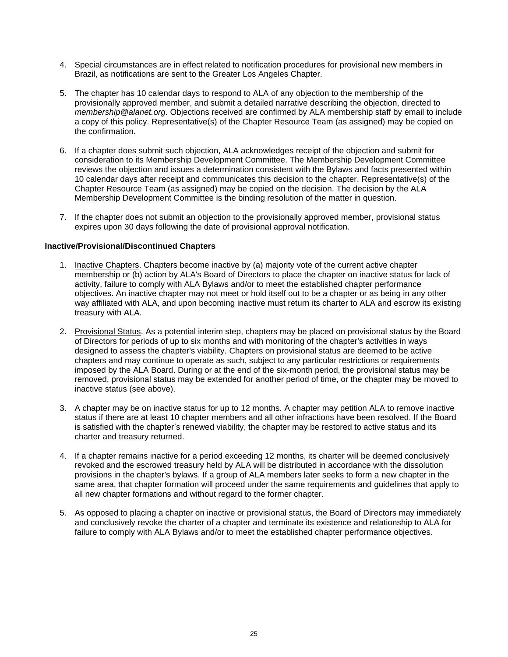- 4. Special circumstances are in effect related to notification procedures for provisional new members in Brazil, as notifications are sent to the Greater Los Angeles Chapter.
- 5. The chapter has 10 calendar days to respond to ALA of any objection to the membership of the provisionally approved member, and submit a detailed narrative describing the objection, directed to *membership@alanet.org*. Objections received are confirmed by ALA membership staff by email to include a copy of this policy. Representative(s) of the Chapter Resource Team (as assigned) may be copied on the confirmation.
- 6. If a chapter does submit such objection, ALA acknowledges receipt of the objection and submit for consideration to its Membership Development Committee. The Membership Development Committee reviews the objection and issues a determination consistent with the Bylaws and facts presented within 10 calendar days after receipt and communicates this decision to the chapter. Representative(s) of the Chapter Resource Team (as assigned) may be copied on the decision. The decision by the ALA Membership Development Committee is the binding resolution of the matter in question.
- 7. If the chapter does not submit an objection to the provisionally approved member, provisional status expires upon 30 days following the date of provisional approval notification.

# <span id="page-28-0"></span>**Inactive/Provisional/Discontinued Chapters**

- 1. Inactive Chapters. Chapters become inactive by (a) majority vote of the current active chapter membership or (b) action by ALA's Board of Directors to place the chapter on inactive status for lack of activity, failure to comply with ALA Bylaws and/or to meet the established chapter performance objectives. An inactive chapter may not meet or hold itself out to be a chapter or as being in any other way affiliated with ALA, and upon becoming inactive must return its charter to ALA and escrow its existing treasury with ALA.
- 2. Provisional Status. As a potential interim step, chapters may be placed on provisional status by the Board of Directors for periods of up to six months and with monitoring of the chapter's activities in ways designed to assess the chapter's viability. Chapters on provisional status are deemed to be active chapters and may continue to operate as such, subject to any particular restrictions or requirements imposed by the ALA Board. During or at the end of the six-month period, the provisional status may be removed, provisional status may be extended for another period of time, or the chapter may be moved to inactive status (see above).
- 3. A chapter may be on inactive status for up to 12 months. A chapter may petition ALA to remove inactive status if there are at least 10 chapter members and all other infractions have been resolved. If the Board is satisfied with the chapter's renewed viability, the chapter may be restored to active status and its charter and treasury returned.
- 4. If a chapter remains inactive for a period exceeding 12 months, its charter will be deemed conclusively revoked and the escrowed treasury held by ALA will be distributed in accordance with the dissolution provisions in the chapter's bylaws. If a group of ALA members later seeks to form a new chapter in the same area, that chapter formation will proceed under the same requirements and guidelines that apply to all new chapter formations and without regard to the former chapter.
- 5. As opposed to placing a chapter on inactive or provisional status, the Board of Directors may immediately and conclusively revoke the charter of a chapter and terminate its existence and relationship to ALA for failure to comply with ALA Bylaws and/or to meet the established chapter performance objectives.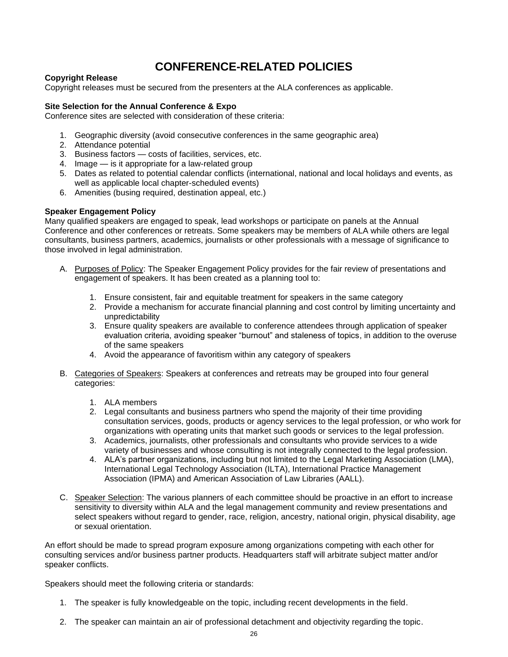# **CONFERENCE-RELATED POLICIES**

# <span id="page-29-1"></span><span id="page-29-0"></span>**Copyright Release**

Copyright releases must be secured from the presenters at the ALA conferences as applicable.

# <span id="page-29-2"></span>**Site Selection for the Annual Conference & Expo**

Conference sites are selected with consideration of these criteria:

- 1. Geographic diversity (avoid consecutive conferences in the same geographic area)
- 2. Attendance potential
- 3. Business factors costs of facilities, services, etc.
- 4. Image is it appropriate for a law-related group
- 5. Dates as related to potential calendar conflicts (international, national and local holidays and events, as well as applicable local chapter-scheduled events)
- 6. Amenities (busing required, destination appeal, etc.)

# <span id="page-29-3"></span>**Speaker Engagement Policy**

Many qualified speakers are engaged to speak, lead workshops or participate on panels at the Annual Conference and other conferences or retreats. Some speakers may be members of ALA while others are legal consultants, business partners, academics, journalists or other professionals with a message of significance to those involved in legal administration.

- A. Purposes of Policy: The Speaker Engagement Policy provides for the fair review of presentations and engagement of speakers. It has been created as a planning tool to:
	- 1. Ensure consistent, fair and equitable treatment for speakers in the same category
	- 2. Provide a mechanism for accurate financial planning and cost control by limiting uncertainty and unpredictability
	- 3. Ensure quality speakers are available to conference attendees through application of speaker evaluation criteria, avoiding speaker "burnout" and staleness of topics, in addition to the overuse of the same speakers
	- 4. Avoid the appearance of favoritism within any category of speakers
- B. Categories of Speakers: Speakers at conferences and retreats may be grouped into four general categories:
	- 1. ALA members
	- 2. Legal consultants and business partners who spend the majority of their time providing consultation services, goods, products or agency services to the legal profession, or who work for organizations with operating units that market such goods or services to the legal profession.
	- 3. Academics, journalists, other professionals and consultants who provide services to a wide variety of businesses and whose consulting is not integrally connected to the legal profession.
	- 4. ALA's partner organizations, including but not limited to the Legal Marketing Association (LMA), International Legal Technology Association (ILTA), International Practice Management Association (IPMA) and American Association of Law Libraries (AALL).
- C. Speaker Selection: The various planners of each committee should be proactive in an effort to increase sensitivity to diversity within ALA and the legal management community and review presentations and select speakers without regard to gender, race, religion, ancestry, national origin, physical disability, age or sexual orientation.

An effort should be made to spread program exposure among organizations competing with each other for consulting services and/or business partner products. Headquarters staff will arbitrate subject matter and/or speaker conflicts.

Speakers should meet the following criteria or standards:

- 1. The speaker is fully knowledgeable on the topic, including recent developments in the field.
- 2. The speaker can maintain an air of professional detachment and objectivity regarding the topic.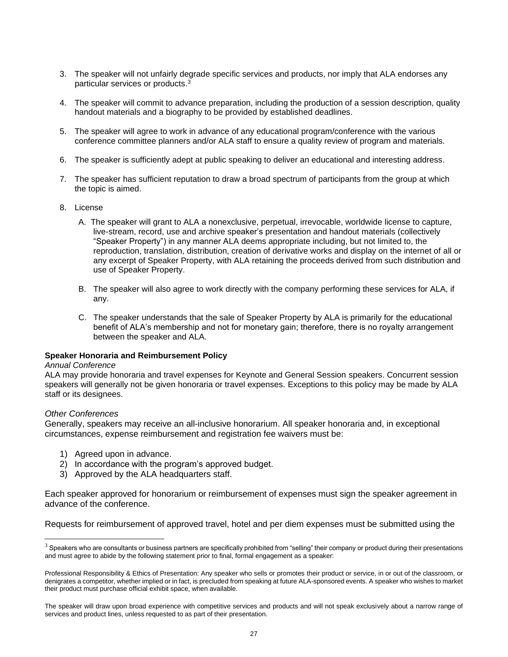- 3. The speaker will not unfairly degrade specific services and products, nor imply that ALA endorses any particular services or products. 3
- 4. The speaker will commit to advance preparation, including the production of a session description, quality handout materials and a biography to be provided by established deadlines.
- 5. The speaker will agree to work in advance of any educational program/conference with the various conference committee planners and/or ALA staff to ensure a quality review of program and materials.
- 6. The speaker is sufficiently adept at public speaking to deliver an educational and interesting address.
- 7. The speaker has sufficient reputation to draw a broad spectrum of participants from the group at which the topic is aimed.
- 8. License
	- A. The speaker will grant to ALA a nonexclusive, perpetual, irrevocable, worldwide license to capture, live-stream, record, use and archive speaker's presentation and handout materials (collectively "Speaker Property") in any manner ALA deems appropriate including, but not limited to, the reproduction, translation, distribution, creation of derivative works and display on the internet of all or any excerpt of Speaker Property, with ALA retaining the proceeds derived from such distribution and use of Speaker Property.
	- B. The speaker will also agree to work directly with the company performing these services for ALA, if any.
	- C. The speaker understands that the sale of Speaker Property by ALA is primarily for the educational benefit of ALA's membership and not for monetary gain; therefore, there is no royalty arrangement between the speaker and ALA.

# <span id="page-30-0"></span>**Speaker Honoraria and Reimbursement Policy**

#### *Annual Conference*

ALA may provide honoraria and travel expenses for Keynote and General Session speakers. Concurrent session speakers will generally not be given honoraria or travel expenses. Exceptions to this policy may be made by ALA staff or its designees.

# *Other Conferences*

Generally, speakers may receive an all-inclusive honorarium. All speaker honoraria and, in exceptional circumstances, expense reimbursement and registration fee waivers must be:

- 1) Agreed upon in advance.
- 2) In accordance with the program's approved budget.
- 3) Approved by the ALA headquarters staff.

Each speaker approved for honorarium or reimbursement of expenses must sign the speaker agreement in advance of the conference.

Requests for reimbursement of approved travel, hotel and per diem expenses must be submitted using the

 $3$  Speakers who are consultants or business partners are specifically prohibited from "selling" their company or product during their presentations and must agree to abide by the following statement prior to final, formal engagement as a speaker:

Professional Responsibility & Ethics of Presentation: Any speaker who sells or promotes their product or service, in or out of the classroom, or denigrates a competitor, whether implied or in fact, is precluded from speaking at future ALA-sponsored events. A speaker who wishes to market their product must purchase official exhibit space, when available.

The speaker will draw upon broad experience with competitive services and products and will not speak exclusively about a narrow range of services and product lines, unless requested to as part of their presentation.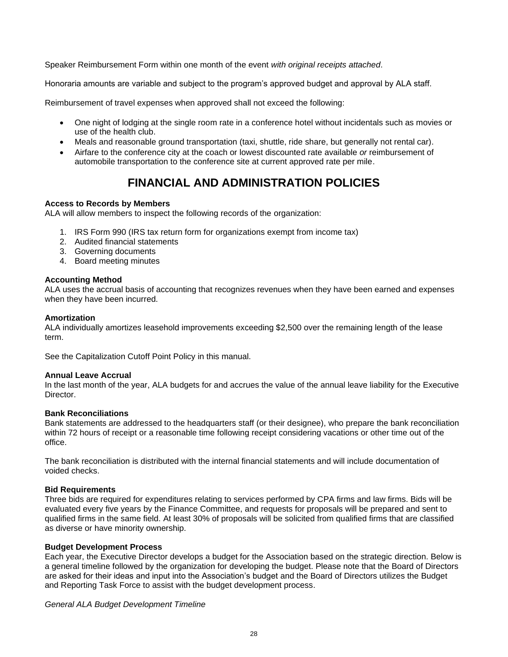Speaker Reimbursement Form within one month of the event *with original receipts attached*.

Honoraria amounts are variable and subject to the program's approved budget and approval by ALA staff.

Reimbursement of travel expenses when approved shall not exceed the following:

- One night of lodging at the single room rate in a conference hotel without incidentals such as movies or use of the health club.
- Meals and reasonable ground transportation (taxi, shuttle, ride share, but generally not rental car).
- Airfare to the conference city at the coach or lowest discounted rate available *or* reimbursement of automobile transportation to the conference site at current approved rate per mile.

# **FINANCIAL AND ADMINISTRATION POLICIES**

# <span id="page-31-1"></span><span id="page-31-0"></span>**Access to Records by Members**

ALA will allow members to inspect the following records of the organization:

- 1. IRS Form 990 (IRS tax return form for organizations exempt from income tax)
- 2. Audited financial statements
- 3. Governing documents
- 4. Board meeting minutes

# <span id="page-31-2"></span>**Accounting Method**

ALA uses the accrual basis of accounting that recognizes revenues when they have been earned and expenses when they have been incurred.

# <span id="page-31-3"></span>**Amortization**

ALA individually amortizes leasehold improvements exceeding \$2,500 over the remaining length of the lease term.

See the Capitalization Cutoff Point Policy in this manual.

# <span id="page-31-4"></span>**Annual Leave Accrual**

In the last month of the year, ALA budgets for and accrues the value of the annual leave liability for the Executive Director.

# <span id="page-31-5"></span>**Bank Reconciliations**

Bank statements are addressed to the headquarters staff (or their designee), who prepare the bank reconciliation within 72 hours of receipt or a reasonable time following receipt considering vacations or other time out of the office.

The bank reconciliation is distributed with the internal financial statements and will include documentation of voided checks.

# <span id="page-31-6"></span>**Bid Requirements**

Three bids are required for expenditures relating to services performed by CPA firms and law firms. Bids will be evaluated every five years by the Finance Committee, and requests for proposals will be prepared and sent to qualified firms in the same field. At least 30% of proposals will be solicited from qualified firms that are classified as diverse or have minority ownership.

# <span id="page-31-7"></span>**Budget Development Process**

Each year, the Executive Director develops a budget for the Association based on the strategic direction. Below is a general timeline followed by the organization for developing the budget. Please note that the Board of Directors are asked for their ideas and input into the Association's budget and the Board of Directors utilizes the Budget and Reporting Task Force to assist with the budget development process.

# *General ALA Budget Development Timeline*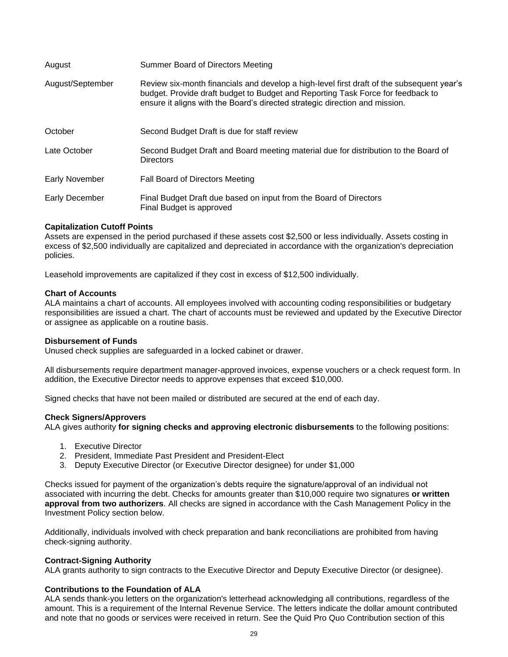| August           | Summer Board of Directors Meeting                                                                                                                                                                                                                           |
|------------------|-------------------------------------------------------------------------------------------------------------------------------------------------------------------------------------------------------------------------------------------------------------|
| August/September | Review six-month financials and develop a high-level first draft of the subsequent year's<br>budget. Provide draft budget to Budget and Reporting Task Force for feedback to<br>ensure it aligns with the Board's directed strategic direction and mission. |
| October          | Second Budget Draft is due for staff review                                                                                                                                                                                                                 |
| Late October     | Second Budget Draft and Board meeting material due for distribution to the Board of<br><b>Directors</b>                                                                                                                                                     |
| Early November   | Fall Board of Directors Meeting                                                                                                                                                                                                                             |
| Early December   | Final Budget Draft due based on input from the Board of Directors<br>Final Budget is approved                                                                                                                                                               |

# <span id="page-32-0"></span>**Capitalization Cutoff Points**

Assets are expensed in the period purchased if these assets cost \$2,500 or less individually. Assets costing in excess of \$2,500 individually are capitalized and depreciated in accordance with the organization's depreciation policies.

Leasehold improvements are capitalized if they cost in excess of \$12,500 individually.

#### <span id="page-32-1"></span>**Chart of Accounts**

ALA maintains a chart of accounts. All employees involved with accounting coding responsibilities or budgetary responsibilities are issued a chart. The chart of accounts must be reviewed and updated by the Executive Director or assignee as applicable on a routine basis.

# <span id="page-32-2"></span>**Disbursement of Funds**

Unused check supplies are safeguarded in a locked cabinet or drawer.

All disbursements require department manager-approved invoices, expense vouchers or a check request form. In addition, the Executive Director needs to approve expenses that exceed \$10,000.

Signed checks that have not been mailed or distributed are secured at the end of each day.

#### <span id="page-32-3"></span>**Check Signers/Approvers**

ALA gives authority **for signing checks and approving electronic disbursements** to the following positions:

- 1. Executive Director
- 2. President, Immediate Past President and President-Elect
- 3. Deputy Executive Director (or Executive Director designee) for under \$1,000

Checks issued for payment of the organization's debts require the signature/approval of an individual not associated with incurring the debt. Checks for amounts greater than \$10,000 require two signatures **or written approval from two authorizers**. All checks are signed in accordance with the Cash Management Policy in the Investment Policy section below.

Additionally, individuals involved with check preparation and bank reconciliations are prohibited from having check-signing authority.

# <span id="page-32-4"></span>**Contract-Signing Authority**

ALA grants authority to sign contracts to the Executive Director and Deputy Executive Director (or designee).

# <span id="page-32-5"></span>**Contributions to the Foundation of ALA**

ALA sends thank-you letters on the organization's letterhead acknowledging all contributions, regardless of the amount. This is a requirement of the Internal Revenue Service. The letters indicate the dollar amount contributed and note that no goods or services were received in return. See the Quid Pro Quo Contribution section of this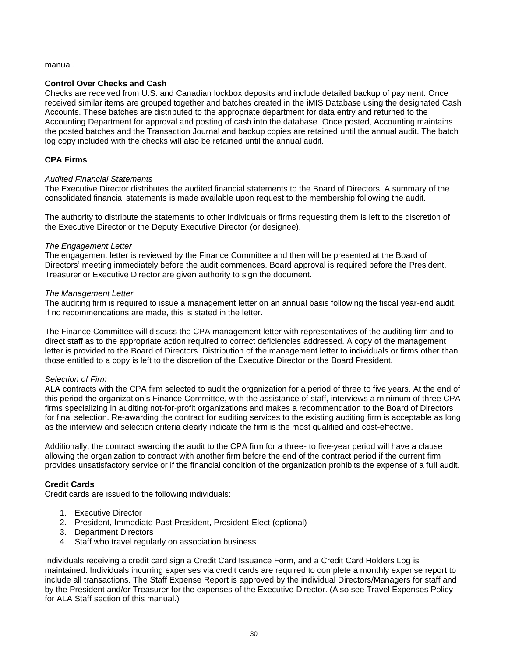# manual.

# <span id="page-33-0"></span>**Control Over Checks and Cash**

Checks are received from U.S. and Canadian lockbox deposits and include detailed backup of payment. Once received similar items are grouped together and batches created in the iMIS Database using the designated Cash Accounts. These batches are distributed to the appropriate department for data entry and returned to the Accounting Department for approval and posting of cash into the database. Once posted, Accounting maintains the posted batches and the Transaction Journal and backup copies are retained until the annual audit. The batch log copy included with the checks will also be retained until the annual audit.

# <span id="page-33-1"></span>**CPA Firms**

# *Audited Financial Statements*

The Executive Director distributes the audited financial statements to the Board of Directors. A summary of the consolidated financial statements is made available upon request to the membership following the audit.

The authority to distribute the statements to other individuals or firms requesting them is left to the discretion of the Executive Director or the Deputy Executive Director (or designee).

#### *The Engagement Letter*

The engagement letter is reviewed by the Finance Committee and then will be presented at the Board of Directors' meeting immediately before the audit commences. Board approval is required before the President, Treasurer or Executive Director are given authority to sign the document.

#### *The Management Letter*

The auditing firm is required to issue a management letter on an annual basis following the fiscal year-end audit. If no recommendations are made, this is stated in the letter.

The Finance Committee will discuss the CPA management letter with representatives of the auditing firm and to direct staff as to the appropriate action required to correct deficiencies addressed. A copy of the management letter is provided to the Board of Directors. Distribution of the management letter to individuals or firms other than those entitled to a copy is left to the discretion of the Executive Director or the Board President.

# *Selection of Firm*

ALA contracts with the CPA firm selected to audit the organization for a period of three to five years. At the end of this period the organization's Finance Committee, with the assistance of staff, interviews a minimum of three CPA firms specializing in auditing not-for-profit organizations and makes a recommendation to the Board of Directors for final selection. Re-awarding the contract for auditing services to the existing auditing firm is acceptable as long as the interview and selection criteria clearly indicate the firm is the most qualified and cost-effective.

Additionally, the contract awarding the audit to the CPA firm for a three- to five-year period will have a clause allowing the organization to contract with another firm before the end of the contract period if the current firm provides unsatisfactory service or if the financial condition of the organization prohibits the expense of a full audit.

# <span id="page-33-2"></span>**Credit Cards**

Credit cards are issued to the following individuals:

- 1. Executive Director
- 2. President, Immediate Past President, President-Elect (optional)
- 3. Department Directors
- 4. Staff who travel regularly on association business

Individuals receiving a credit card sign a Credit Card Issuance Form, and a Credit Card Holders Log is maintained. Individuals incurring expenses via credit cards are required to complete a monthly expense report to include all transactions. The Staff Expense Report is approved by the individual Directors/Managers for staff and by the President and/or Treasurer for the expenses of the Executive Director. (Also see Travel Expenses Policy for ALA Staff section of this manual.)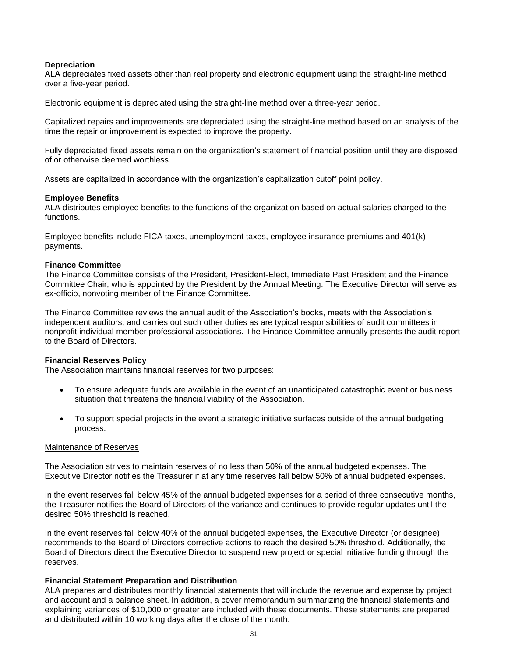#### <span id="page-34-0"></span>**Depreciation**

ALA depreciates fixed assets other than real property and electronic equipment using the straight-line method over a five-year period.

Electronic equipment is depreciated using the straight-line method over a three-year period.

Capitalized repairs and improvements are depreciated using the straight-line method based on an analysis of the time the repair or improvement is expected to improve the property.

Fully depreciated fixed assets remain on the organization's statement of financial position until they are disposed of or otherwise deemed worthless.

Assets are capitalized in accordance with the organization's capitalization cutoff point policy.

#### <span id="page-34-1"></span>**Employee Benefits**

ALA distributes employee benefits to the functions of the organization based on actual salaries charged to the functions.

Employee benefits include FICA taxes, unemployment taxes, employee insurance premiums and 401(k) payments.

#### <span id="page-34-2"></span>**Finance Committee**

The Finance Committee consists of the President, President-Elect, Immediate Past President and the Finance Committee Chair, who is appointed by the President by the Annual Meeting. The Executive Director will serve as ex-officio, nonvoting member of the Finance Committee.

The Finance Committee reviews the annual audit of the Association's books, meets with the Association's independent auditors, and carries out such other duties as are typical responsibilities of audit committees in nonprofit individual member professional associations. The Finance Committee annually presents the audit report to the Board of Directors.

#### <span id="page-34-3"></span>**Financial Reserves Policy**

The Association maintains financial reserves for two purposes:

- To ensure adequate funds are available in the event of an unanticipated catastrophic event or business situation that threatens the financial viability of the Association.
- To support special projects in the event a strategic initiative surfaces outside of the annual budgeting process.

#### Maintenance of Reserves

The Association strives to maintain reserves of no less than 50% of the annual budgeted expenses. The Executive Director notifies the Treasurer if at any time reserves fall below 50% of annual budgeted expenses.

In the event reserves fall below 45% of the annual budgeted expenses for a period of three consecutive months, the Treasurer notifies the Board of Directors of the variance and continues to provide regular updates until the desired 50% threshold is reached.

In the event reserves fall below 40% of the annual budgeted expenses, the Executive Director (or designee) recommends to the Board of Directors corrective actions to reach the desired 50% threshold. Additionally, the Board of Directors direct the Executive Director to suspend new project or special initiative funding through the reserves.

# <span id="page-34-4"></span>**Financial Statement Preparation and Distribution**

ALA prepares and distributes monthly financial statements that will include the revenue and expense by project and account and a balance sheet. In addition, a cover memorandum summarizing the financial statements and explaining variances of \$10,000 or greater are included with these documents. These statements are prepared and distributed within 10 working days after the close of the month.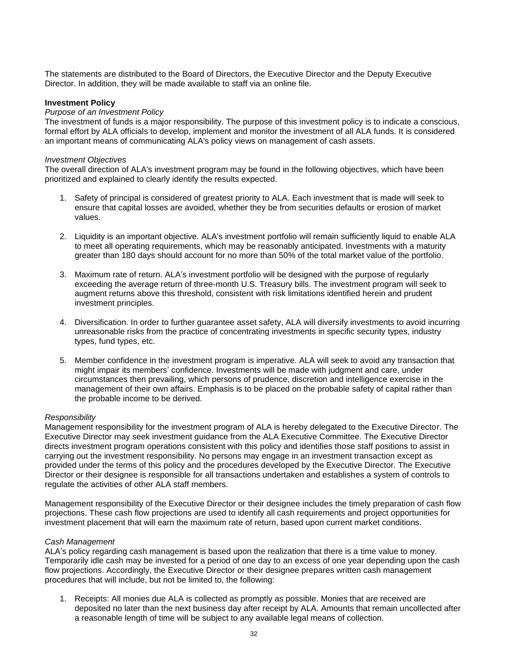The statements are distributed to the Board of Directors, the Executive Director and the Deputy Executive Director. In addition, they will be made available to staff via an online file.

# <span id="page-35-0"></span>**Investment Policy**

# *Purpose of an Investment Policy*

The investment of funds is a major responsibility. The purpose of this investment policy is to indicate a conscious, formal effort by ALA officials to develop, implement and monitor the investment of all ALA funds. It is considered an important means of communicating ALA's policy views on management of cash assets.

#### *Investment Objectives*

The overall direction of ALA's investment program may be found in the following objectives, which have been prioritized and explained to clearly identify the results expected.

- 1. Safety of principal is considered of greatest priority to ALA. Each investment that is made will seek to ensure that capital losses are avoided, whether they be from securities defaults or erosion of market values.
- 2. Liquidity is an important objective. ALA's investment portfolio will remain sufficiently liquid to enable ALA to meet all operating requirements, which may be reasonably anticipated. Investments with a maturity greater than 180 days should account for no more than 50% of the total market value of the portfolio.
- 3. Maximum rate of return. ALA's investment portfolio will be designed with the purpose of regularly exceeding the average return of three-month U.S. Treasury bills. The investment program will seek to augment returns above this threshold, consistent with risk limitations identified herein and prudent investment principles.
- 4. Diversification. In order to further guarantee asset safety, ALA will diversify investments to avoid incurring unreasonable risks from the practice of concentrating investments in specific security types, industry types, fund types, etc.
- 5. Member confidence in the investment program is imperative. ALA will seek to avoid any transaction that might impair its members' confidence. Investments will be made with judgment and care, under circumstances then prevailing, which persons of prudence, discretion and intelligence exercise in the management of their own affairs. Emphasis is to be placed on the probable safety of capital rather than the probable income to be derived.

#### *Responsibility*

Management responsibility for the investment program of ALA is hereby delegated to the Executive Director. The Executive Director may seek investment guidance from the ALA Executive Committee. The Executive Director directs investment program operations consistent with this policy and identifies those staff positions to assist in carrying out the investment responsibility. No persons may engage in an investment transaction except as provided under the terms of this policy and the procedures developed by the Executive Director. The Executive Director or their designee is responsible for all transactions undertaken and establishes a system of controls to regulate the activities of other ALA staff members.

Management responsibility of the Executive Director or their designee includes the timely preparation of cash flow projections. These cash flow projections are used to identify all cash requirements and project opportunities for investment placement that will earn the maximum rate of return, based upon current market conditions.

# *Cash Management*

ALA's policy regarding cash management is based upon the realization that there is a time value to money. Temporarily idle cash may be invested for a period of one day to an excess of one year depending upon the cash flow projections. Accordingly, the Executive Director or their designee prepares written cash management procedures that will include, but not be limited to, the following:

1. Receipts: All monies due ALA is collected as promptly as possible. Monies that are received are deposited no later than the next business day after receipt by ALA. Amounts that remain uncollected after a reasonable length of time will be subject to any available legal means of collection.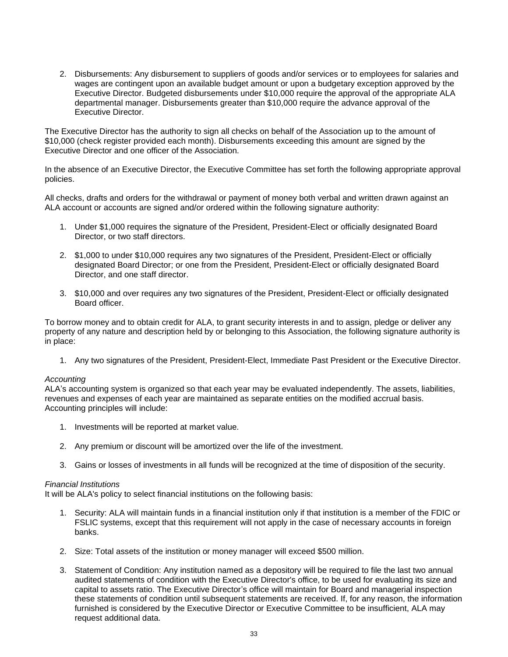2. Disbursements: Any disbursement to suppliers of goods and/or services or to employees for salaries and wages are contingent upon an available budget amount or upon a budgetary exception approved by the Executive Director. Budgeted disbursements under \$10,000 require the approval of the appropriate ALA departmental manager. Disbursements greater than \$10,000 require the advance approval of the Executive Director.

The Executive Director has the authority to sign all checks on behalf of the Association up to the amount of \$10,000 (check register provided each month). Disbursements exceeding this amount are signed by the Executive Director and one officer of the Association.

In the absence of an Executive Director, the Executive Committee has set forth the following appropriate approval policies.

All checks, drafts and orders for the withdrawal or payment of money both verbal and written drawn against an ALA account or accounts are signed and/or ordered within the following signature authority:

- 1. Under \$1,000 requires the signature of the President, President-Elect or officially designated Board Director, or two staff directors.
- 2. \$1,000 to under \$10,000 requires any two signatures of the President, President-Elect or officially designated Board Director; or one from the President, President-Elect or officially designated Board Director, and one staff director.
- 3. \$10,000 and over requires any two signatures of the President, President-Elect or officially designated Board officer.

To borrow money and to obtain credit for ALA, to grant security interests in and to assign, pledge or deliver any property of any nature and description held by or belonging to this Association, the following signature authority is in place:

1. Any two signatures of the President, President-Elect, Immediate Past President or the Executive Director.

# *Accounting*

ALA's accounting system is organized so that each year may be evaluated independently. The assets, liabilities, revenues and expenses of each year are maintained as separate entities on the modified accrual basis. Accounting principles will include:

- 1. Investments will be reported at market value.
- 2. Any premium or discount will be amortized over the life of the investment.
- 3. Gains or losses of investments in all funds will be recognized at the time of disposition of the security.

# *Financial Institutions*

It will be ALA's policy to select financial institutions on the following basis:

- 1. Security: ALA will maintain funds in a financial institution only if that institution is a member of the FDIC or FSLIC systems, except that this requirement will not apply in the case of necessary accounts in foreign banks.
- 2. Size: Total assets of the institution or money manager will exceed \$500 million.
- 3. Statement of Condition: Any institution named as a depository will be required to file the last two annual audited statements of condition with the Executive Director's office, to be used for evaluating its size and capital to assets ratio. The Executive Director's office will maintain for Board and managerial inspection these statements of condition until subsequent statements are received. If, for any reason, the information furnished is considered by the Executive Director or Executive Committee to be insufficient, ALA may request additional data.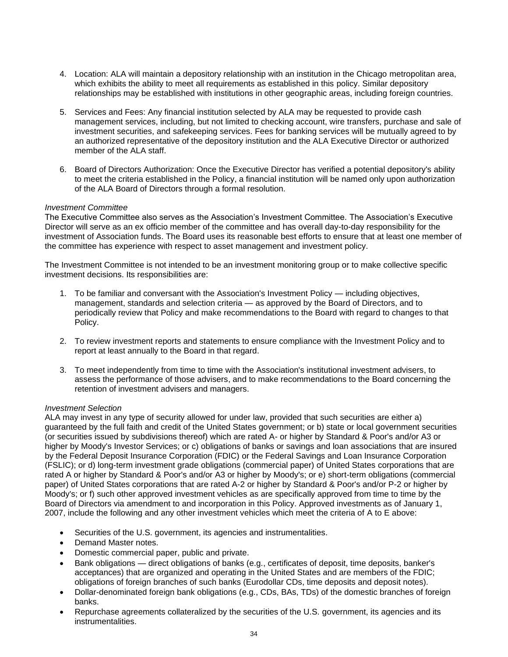- 4. Location: ALA will maintain a depository relationship with an institution in the Chicago metropolitan area, which exhibits the ability to meet all requirements as established in this policy. Similar depository relationships may be established with institutions in other geographic areas, including foreign countries.
- 5. Services and Fees: Any financial institution selected by ALA may be requested to provide cash management services, including, but not limited to checking account, wire transfers, purchase and sale of investment securities, and safekeeping services. Fees for banking services will be mutually agreed to by an authorized representative of the depository institution and the ALA Executive Director or authorized member of the ALA staff.
- 6. Board of Directors Authorization: Once the Executive Director has verified a potential depository's ability to meet the criteria established in the Policy, a financial institution will be named only upon authorization of the ALA Board of Directors through a formal resolution.

# *Investment Committee*

The Executive Committee also serves as the Association's Investment Committee. The Association's Executive Director will serve as an ex officio member of the committee and has overall day-to-day responsibility for the investment of Association funds. The Board uses its reasonable best efforts to ensure that at least one member of the committee has experience with respect to asset management and investment policy.

The Investment Committee is not intended to be an investment monitoring group or to make collective specific investment decisions. Its responsibilities are:

- 1. To be familiar and conversant with the Association's Investment Policy including objectives, management, standards and selection criteria — as approved by the Board of Directors, and to periodically review that Policy and make recommendations to the Board with regard to changes to that Policy.
- 2. To review investment reports and statements to ensure compliance with the Investment Policy and to report at least annually to the Board in that regard.
- 3. To meet independently from time to time with the Association's institutional investment advisers, to assess the performance of those advisers, and to make recommendations to the Board concerning the retention of investment advisers and managers.

# *Investment Selection*

ALA may invest in any type of security allowed for under law, provided that such securities are either a) guaranteed by the full faith and credit of the United States government; or b) state or local government securities (or securities issued by subdivisions thereof) which are rated A- or higher by Standard & Poor's and/or A3 or higher by Moody's Investor Services; or c) obligations of banks or savings and loan associations that are insured by the Federal Deposit Insurance Corporation (FDIC) or the Federal Savings and Loan Insurance Corporation (FSLIC); or d) long-term investment grade obligations (commercial paper) of United States corporations that are rated A or higher by Standard & Poor's and/or A3 or higher by Moody's; or e) short-term obligations (commercial paper) of United States corporations that are rated A-2 or higher by Standard & Poor's and/or P-2 or higher by Moody's; or f) such other approved investment vehicles as are specifically approved from time to time by the Board of Directors via amendment to and incorporation in this Policy. Approved investments as of January 1, 2007, include the following and any other investment vehicles which meet the criteria of A to E above:

- Securities of the U.S. government, its agencies and instrumentalities.
- Demand Master notes.
- Domestic commercial paper, public and private.
- Bank obligations direct obligations of banks (e.g., certificates of deposit, time deposits, banker's acceptances) that are organized and operating in the United States and are members of the FDIC; obligations of foreign branches of such banks (Eurodollar CDs, time deposits and deposit notes).
- Dollar-denominated foreign bank obligations (e.g., CDs, BAs, TDs) of the domestic branches of foreign banks.
- Repurchase agreements collateralized by the securities of the U.S. government, its agencies and its instrumentalities.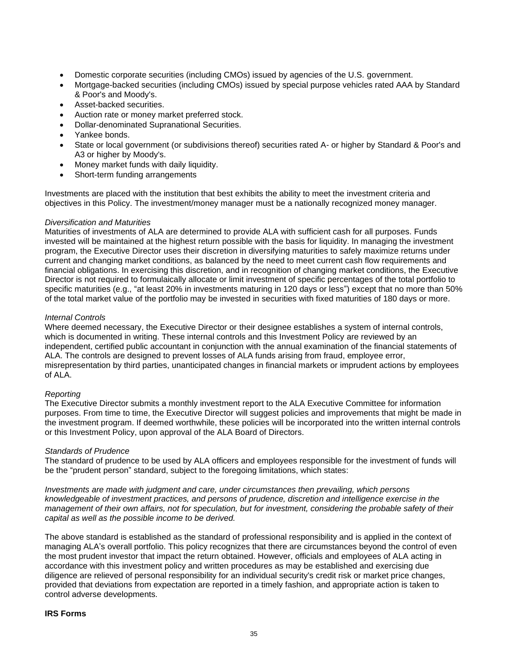- Domestic corporate securities (including CMOs) issued by agencies of the U.S. government.
- Mortgage-backed securities (including CMOs) issued by special purpose vehicles rated AAA by Standard & Poor's and Moody's.
- Asset-backed securities.
- Auction rate or money market preferred stock.
- Dollar-denominated Supranational Securities.
- Yankee bonds.
- State or local government (or subdivisions thereof) securities rated A- or higher by Standard & Poor's and A3 or higher by Moody's.
- Money market funds with daily liquidity.
- Short-term funding arrangements

Investments are placed with the institution that best exhibits the ability to meet the investment criteria and objectives in this Policy. The investment/money manager must be a nationally recognized money manager.

# *Diversification and Maturities*

Maturities of investments of ALA are determined to provide ALA with sufficient cash for all purposes. Funds invested will be maintained at the highest return possible with the basis for liquidity. In managing the investment program, the Executive Director uses their discretion in diversifying maturities to safely maximize returns under current and changing market conditions, as balanced by the need to meet current cash flow requirements and financial obligations. In exercising this discretion, and in recognition of changing market conditions, the Executive Director is not required to formulaically allocate or limit investment of specific percentages of the total portfolio to specific maturities (e.g., "at least 20% in investments maturing in 120 days or less") except that no more than 50% of the total market value of the portfolio may be invested in securities with fixed maturities of 180 days or more.

# *Internal Controls*

Where deemed necessary, the Executive Director or their designee establishes a system of internal controls, which is documented in writing. These internal controls and this Investment Policy are reviewed by an independent, certified public accountant in conjunction with the annual examination of the financial statements of ALA. The controls are designed to prevent losses of ALA funds arising from fraud, employee error, misrepresentation by third parties, unanticipated changes in financial markets or imprudent actions by employees of ALA.

# *Reporting*

The Executive Director submits a monthly investment report to the ALA Executive Committee for information purposes. From time to time, the Executive Director will suggest policies and improvements that might be made in the investment program. If deemed worthwhile, these policies will be incorporated into the written internal controls or this Investment Policy, upon approval of the ALA Board of Directors.

# *Standards of Prudence*

The standard of prudence to be used by ALA officers and employees responsible for the investment of funds will be the "prudent person" standard, subject to the foregoing limitations, which states:

*Investments are made with judgment and care, under circumstances then prevailing, which persons knowledgeable of investment practices, and persons of prudence, discretion and intelligence exercise in the management of their own affairs, not for speculation, but for investment, considering the probable safety of their capital as well as the possible income to be derived.*

The above standard is established as the standard of professional responsibility and is applied in the context of managing ALA's overall portfolio. This policy recognizes that there are circumstances beyond the control of even the most prudent investor that impact the return obtained. However, officials and employees of ALA acting in accordance with this investment policy and written procedures as may be established and exercising due diligence are relieved of personal responsibility for an individual security's credit risk or market price changes, provided that deviations from expectation are reported in a timely fashion, and appropriate action is taken to control adverse developments.

#### <span id="page-38-0"></span>**IRS Forms**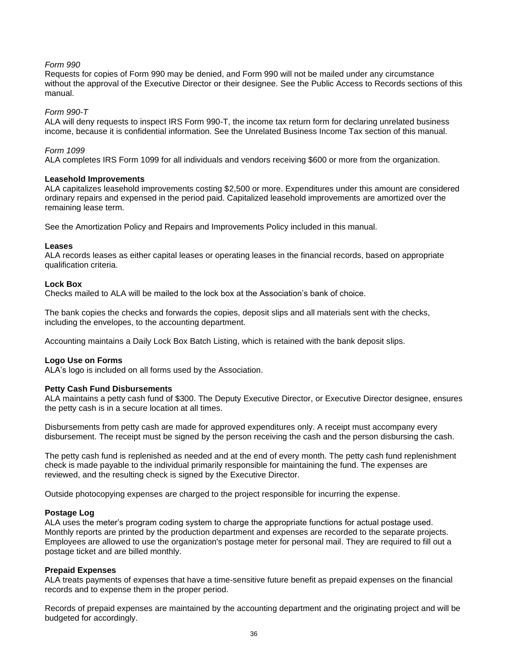# *Form 990*

Requests for copies of Form 990 may be denied, and Form 990 will not be mailed under any circumstance without the approval of the Executive Director or their designee. See the Public Access to Records sections of this manual.

#### *Form 990-T*

ALA will deny requests to inspect IRS Form 990-T, the income tax return form for declaring unrelated business income, because it is confidential information. See the Unrelated Business Income Tax section of this manual.

#### *Form 1099*

ALA completes IRS Form 1099 for all individuals and vendors receiving \$600 or more from the organization.

#### <span id="page-39-0"></span>**Leasehold Improvements**

ALA capitalizes leasehold improvements costing \$2,500 or more. Expenditures under this amount are considered ordinary repairs and expensed in the period paid. Capitalized leasehold improvements are amortized over the remaining lease term.

See the Amortization Policy and Repairs and Improvements Policy included in this manual.

#### <span id="page-39-1"></span>**Leases**

ALA records leases as either capital leases or operating leases in the financial records, based on appropriate qualification criteria.

#### <span id="page-39-2"></span>**Lock Box**

Checks mailed to ALA will be mailed to the lock box at the Association's bank of choice.

The bank copies the checks and forwards the copies, deposit slips and all materials sent with the checks, including the envelopes, to the accounting department.

Accounting maintains a Daily Lock Box Batch Listing, which is retained with the bank deposit slips.

# <span id="page-39-3"></span>**Logo Use on Forms**

ALA's logo is included on all forms used by the Association.

# <span id="page-39-4"></span>**Petty Cash Fund Disbursements**

ALA maintains a petty cash fund of \$300. The Deputy Executive Director, or Executive Director designee, ensures the petty cash is in a secure location at all times.

Disbursements from petty cash are made for approved expenditures only. A receipt must accompany every disbursement. The receipt must be signed by the person receiving the cash and the person disbursing the cash.

The petty cash fund is replenished as needed and at the end of every month. The petty cash fund replenishment check is made payable to the individual primarily responsible for maintaining the fund. The expenses are reviewed, and the resulting check is signed by the Executive Director.

Outside photocopying expenses are charged to the project responsible for incurring the expense.

#### <span id="page-39-5"></span>**Postage Log**

ALA uses the meter's program coding system to charge the appropriate functions for actual postage used. Monthly reports are printed by the production department and expenses are recorded to the separate projects. Employees are allowed to use the organization's postage meter for personal mail. They are required to fill out a postage ticket and are billed monthly.

# <span id="page-39-6"></span>**Prepaid Expenses**

ALA treats payments of expenses that have a time-sensitive future benefit as prepaid expenses on the financial records and to expense them in the proper period.

Records of prepaid expenses are maintained by the accounting department and the originating project and will be budgeted for accordingly.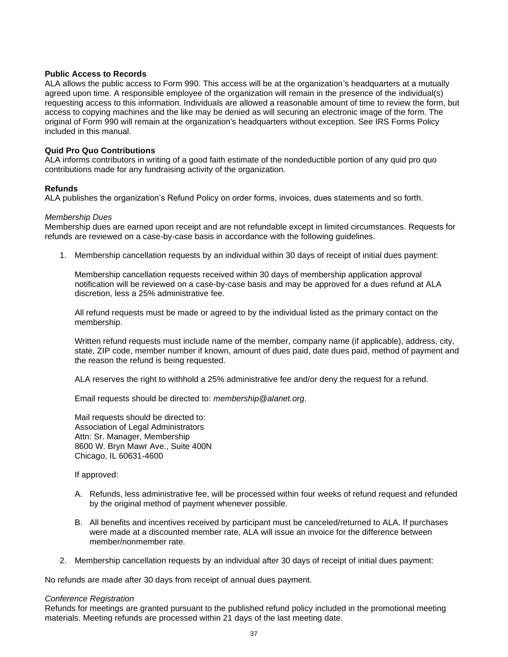#### <span id="page-40-0"></span>**Public Access to Records**

ALA allows the public access to Form 990. This access will be at the organization's headquarters at a mutually agreed upon time. A responsible employee of the organization will remain in the presence of the individual(s) requesting access to this information. Individuals are allowed a reasonable amount of time to review the form, but access to copying machines and the like may be denied as will securing an electronic image of the form. The original of Form 990 will remain at the organization's headquarters without exception. See IRS Forms Policy included in this manual.

# <span id="page-40-1"></span>**Quid Pro Quo Contributions**

ALA informs contributors in writing of a good faith estimate of the nondeductible portion of any quid pro quo contributions made for any fundraising activity of the organization.

# <span id="page-40-2"></span>**Refunds**

ALA publishes the organization's Refund Policy on order forms, invoices, dues statements and so forth.

#### *Membership Dues*

Membership dues are earned upon receipt and are not refundable except in limited circumstances. Requests for refunds are reviewed on a case-by-case basis in accordance with the following guidelines.

1. Membership cancellation requests by an individual within 30 days of receipt of initial dues payment:

Membership cancellation requests received within 30 days of membership application approval notification will be reviewed on a case-by-case basis and may be approved for a dues refund at ALA discretion, less a 25% administrative fee.

All refund requests must be made or agreed to by the individual listed as the primary contact on the membership.

Written refund requests must include name of the member, company name (if applicable), address, city, state, ZIP code, member number if known, amount of dues paid, date dues paid, method of payment and the reason the refund is being requested.

ALA reserves the right to withhold a 25% administrative fee and/or deny the request for a refund.

Email requests should be directed to: *membership@alanet.org*.

Mail requests should be directed to: Association of Legal Administrators Attn: Sr. Manager, Membership 8600 W. Bryn Mawr Ave., Suite 400N Chicago, IL 60631-4600

If approved:

- A. Refunds, less administrative fee, will be processed within four weeks of refund request and refunded by the original method of payment whenever possible.
- B. All benefits and incentives received by participant must be canceled/returned to ALA. If purchases were made at a discounted member rate, ALA will issue an invoice for the difference between member/nonmember rate.
- 2. Membership cancellation requests by an individual after 30 days of receipt of initial dues payment:

No refunds are made after 30 days from receipt of annual dues payment.

#### *Conference Registration*

Refunds for meetings are granted pursuant to the published refund policy included in the promotional meeting materials. Meeting refunds are processed within 21 days of the last meeting date.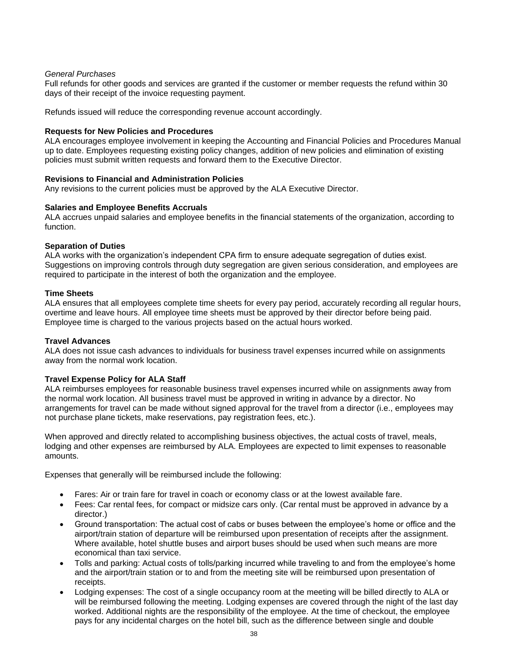# *General Purchases*

Full refunds for other goods and services are granted if the customer or member requests the refund within 30 days of their receipt of the invoice requesting payment.

Refunds issued will reduce the corresponding revenue account accordingly.

#### <span id="page-41-0"></span>**Requests for New Policies and Procedures**

ALA encourages employee involvement in keeping the Accounting and Financial Policies and Procedures Manual up to date. Employees requesting existing policy changes, addition of new policies and elimination of existing policies must submit written requests and forward them to the Executive Director.

#### <span id="page-41-1"></span>**Revisions to Financial and Administration Policies**

Any revisions to the current policies must be approved by the ALA Executive Director.

#### <span id="page-41-2"></span>**Salaries and Employee Benefits Accruals**

ALA accrues unpaid salaries and employee benefits in the financial statements of the organization, according to function.

#### <span id="page-41-3"></span>**Separation of Duties**

ALA works with the organization's independent CPA firm to ensure adequate segregation of duties exist. Suggestions on improving controls through duty segregation are given serious consideration, and employees are required to participate in the interest of both the organization and the employee.

#### <span id="page-41-4"></span>**Time Sheets**

ALA ensures that all employees complete time sheets for every pay period, accurately recording all regular hours, overtime and leave hours. All employee time sheets must be approved by their director before being paid. Employee time is charged to the various projects based on the actual hours worked.

# <span id="page-41-5"></span>**Travel Advances**

ALA does not issue cash advances to individuals for business travel expenses incurred while on assignments away from the normal work location.

# <span id="page-41-6"></span>**Travel Expense Policy for ALA Staff**

ALA reimburses employees for reasonable business travel expenses incurred while on assignments away from the normal work location. All business travel must be approved in writing in advance by a director. No arrangements for travel can be made without signed approval for the travel from a director (i.e., employees may not purchase plane tickets, make reservations, pay registration fees, etc.).

When approved and directly related to accomplishing business objectives, the actual costs of travel, meals, lodging and other expenses are reimbursed by ALA. Employees are expected to limit expenses to reasonable amounts.

Expenses that generally will be reimbursed include the following:

- Fares: Air or train fare for travel in coach or economy class or at the lowest available fare.
- Fees: Car rental fees, for compact or midsize cars only. (Car rental must be approved in advance by a director.)
- Ground transportation: The actual cost of cabs or buses between the employee's home or office and the airport/train station of departure will be reimbursed upon presentation of receipts after the assignment. Where available, hotel shuttle buses and airport buses should be used when such means are more economical than taxi service.
- Tolls and parking: Actual costs of tolls/parking incurred while traveling to and from the employee's home and the airport/train station or to and from the meeting site will be reimbursed upon presentation of receipts.
- Lodging expenses: The cost of a single occupancy room at the meeting will be billed directly to ALA or will be reimbursed following the meeting. Lodging expenses are covered through the night of the last day worked. Additional nights are the responsibility of the employee. At the time of checkout, the employee pays for any incidental charges on the hotel bill, such as the difference between single and double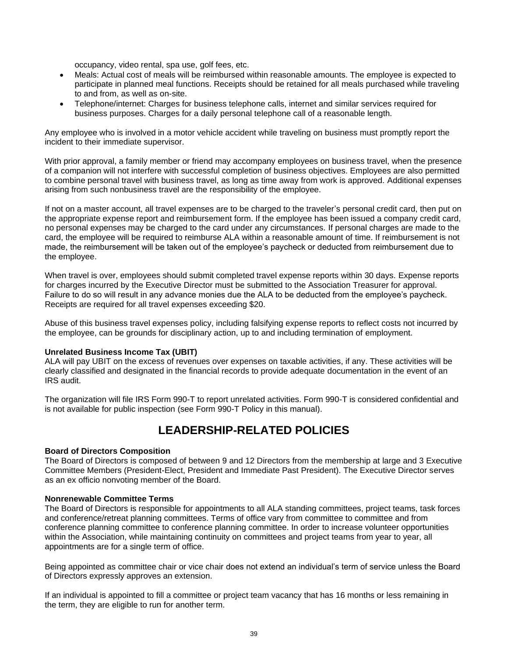occupancy, video rental, spa use, golf fees, etc.

- Meals: Actual cost of meals will be reimbursed within reasonable amounts. The employee is expected to participate in planned meal functions. Receipts should be retained for all meals purchased while traveling to and from, as well as on-site.
- Telephone/internet: Charges for business telephone calls, internet and similar services required for business purposes. Charges for a daily personal telephone call of a reasonable length.

Any employee who is involved in a motor vehicle accident while traveling on business must promptly report the incident to their immediate supervisor.

With prior approval, a family member or friend may accompany employees on business travel, when the presence of a companion will not interfere with successful completion of business objectives. Employees are also permitted to combine personal travel with business travel, as long as time away from work is approved. Additional expenses arising from such nonbusiness travel are the responsibility of the employee.

If not on a master account, all travel expenses are to be charged to the traveler's personal credit card, then put on the appropriate expense report and reimbursement form. If the employee has been issued a company credit card, no personal expenses may be charged to the card under any circumstances. If personal charges are made to the card, the employee will be required to reimburse ALA within a reasonable amount of time. If reimbursement is not made, the reimbursement will be taken out of the employee's paycheck or deducted from reimbursement due to the employee.

When travel is over, employees should submit completed travel expense reports within 30 days. Expense reports for charges incurred by the Executive Director must be submitted to the Association Treasurer for approval. Failure to do so will result in any advance monies due the ALA to be deducted from the employee's paycheck. Receipts are required for all travel expenses exceeding \$20.

Abuse of this business travel expenses policy, including falsifying expense reports to reflect costs not incurred by the employee, can be grounds for disciplinary action, up to and including termination of employment.

# <span id="page-42-0"></span>**Unrelated Business Income Tax (UBIT)**

ALA will pay UBIT on the excess of revenues over expenses on taxable activities, if any. These activities will be clearly classified and designated in the financial records to provide adequate documentation in the event of an IRS audit.

The organization will file IRS Form 990-T to report unrelated activities. Form 990-T is considered confidential and is not available for public inspection (see Form 990-T Policy in this manual).

# **LEADERSHIP-RELATED POLICIES**

# <span id="page-42-2"></span><span id="page-42-1"></span>**Board of Directors Composition**

The Board of Directors is composed of between 9 and 12 Directors from the membership at large and 3 Executive Committee Members (President-Elect, President and Immediate Past President). The Executive Director serves as an ex officio nonvoting member of the Board.

# <span id="page-42-3"></span>**Nonrenewable Committee Terms**

The Board of Directors is responsible for appointments to all ALA standing committees, project teams, task forces and conference/retreat planning committees. Terms of office vary from committee to committee and from conference planning committee to conference planning committee. In order to increase volunteer opportunities within the Association, while maintaining continuity on committees and project teams from year to year, all appointments are for a single term of office.

Being appointed as committee chair or vice chair does not extend an individual's term of service unless the Board of Directors expressly approves an extension.

If an individual is appointed to fill a committee or project team vacancy that has 16 months or less remaining in the term, they are eligible to run for another term.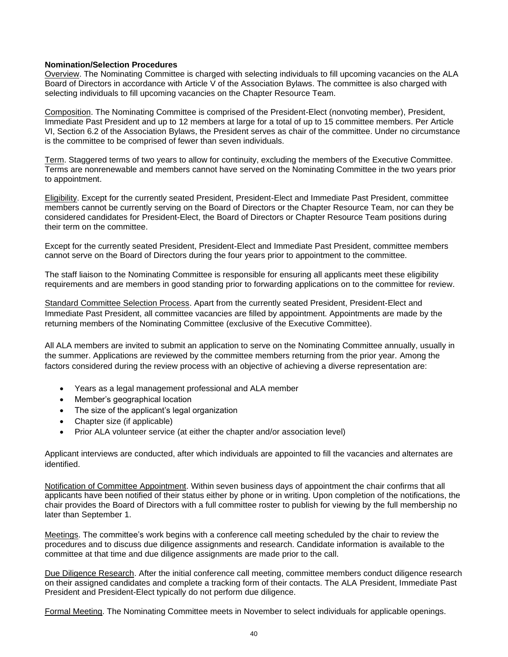# <span id="page-43-0"></span>**Nomination/Selection Procedures**

Overview. The Nominating Committee is charged with selecting individuals to fill upcoming vacancies on the ALA Board of Directors in accordance with Article V of the Association Bylaws. The committee is also charged with selecting individuals to fill upcoming vacancies on the Chapter Resource Team.

Composition. The Nominating Committee is comprised of the President-Elect (nonvoting member), President, Immediate Past President and up to 12 members at large for a total of up to 15 committee members. Per Article VI, Section 6.2 of the Association Bylaws, the President serves as chair of the committee. Under no circumstance is the committee to be comprised of fewer than seven individuals.

Term. Staggered terms of two years to allow for continuity, excluding the members of the Executive Committee. Terms are nonrenewable and members cannot have served on the Nominating Committee in the two years prior to appointment.

Eligibility. Except for the currently seated President, President-Elect and Immediate Past President, committee members cannot be currently serving on the Board of Directors or the Chapter Resource Team, nor can they be considered candidates for President-Elect, the Board of Directors or Chapter Resource Team positions during their term on the committee.

Except for the currently seated President, President-Elect and Immediate Past President, committee members cannot serve on the Board of Directors during the four years prior to appointment to the committee.

The staff liaison to the Nominating Committee is responsible for ensuring all applicants meet these eligibility requirements and are members in good standing prior to forwarding applications on to the committee for review.

Standard Committee Selection Process. Apart from the currently seated President, President-Elect and Immediate Past President, all committee vacancies are filled by appointment. Appointments are made by the returning members of the Nominating Committee (exclusive of the Executive Committee).

All ALA members are invited to submit an application to serve on the Nominating Committee annually, usually in the summer. Applications are reviewed by the committee members returning from the prior year. Among the factors considered during the review process with an objective of achieving a diverse representation are:

- Years as a legal management professional and ALA member
- Member's geographical location
- The size of the applicant's legal organization
- Chapter size (if applicable)
- Prior ALA volunteer service (at either the chapter and/or association level)

Applicant interviews are conducted, after which individuals are appointed to fill the vacancies and alternates are identified.

Notification of Committee Appointment. Within seven business days of appointment the chair confirms that all applicants have been notified of their status either by phone or in writing. Upon completion of the notifications, the chair provides the Board of Directors with a full committee roster to publish for viewing by the full membership no later than September 1.

Meetings. The committee's work begins with a conference call meeting scheduled by the chair to review the procedures and to discuss due diligence assignments and research. Candidate information is available to the committee at that time and due diligence assignments are made prior to the call.

Due Diligence Research. After the initial conference call meeting, committee members conduct diligence research on their assigned candidates and complete a tracking form of their contacts. The ALA President, Immediate Past President and President-Elect typically do not perform due diligence.

Formal Meeting. The Nominating Committee meets in November to select individuals for applicable openings.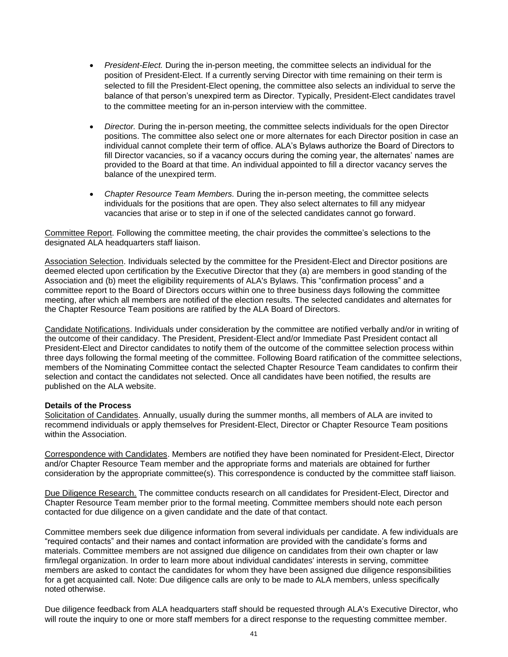- *President-Elect.* During the in-person meeting, the committee selects an individual for the position of President-Elect. If a currently serving Director with time remaining on their term is selected to fill the President-Elect opening, the committee also selects an individual to serve the balance of that person's unexpired term as Director. Typically, President-Elect candidates travel to the committee meeting for an in-person interview with the committee.
- *Director.* During the in-person meeting, the committee selects individuals for the open Director positions. The committee also select one or more alternates for each Director position in case an individual cannot complete their term of office. ALA's Bylaws authorize the Board of Directors to fill Director vacancies, so if a vacancy occurs during the coming year, the alternates' names are provided to the Board at that time. An individual appointed to fill a director vacancy serves the balance of the unexpired term.
- *Chapter Resource Team Members.* During the in-person meeting, the committee selects individuals for the positions that are open. They also select alternates to fill any midyear vacancies that arise or to step in if one of the selected candidates cannot go forward.

Committee Report. Following the committee meeting, the chair provides the committee's selections to the designated ALA headquarters staff liaison.

Association Selection. Individuals selected by the committee for the President-Elect and Director positions are deemed elected upon certification by the Executive Director that they (a) are members in good standing of the Association and (b) meet the eligibility requirements of ALA's Bylaws. This "confirmation process" and a committee report to the Board of Directors occurs within one to three business days following the committee meeting, after which all members are notified of the election results. The selected candidates and alternates for the Chapter Resource Team positions are ratified by the ALA Board of Directors.

Candidate Notifications. Individuals under consideration by the committee are notified verbally and/or in writing of the outcome of their candidacy. The President, President-Elect and/or Immediate Past President contact all President-Elect and Director candidates to notify them of the outcome of the committee selection process within three days following the formal meeting of the committee. Following Board ratification of the committee selections, members of the Nominating Committee contact the selected Chapter Resource Team candidates to confirm their selection and contact the candidates not selected. Once all candidates have been notified, the results are published on the ALA website.

# <span id="page-44-0"></span>**Details of the Process**

Solicitation of Candidates. Annually, usually during the summer months, all members of ALA are invited to recommend individuals or apply themselves for President-Elect, Director or Chapter Resource Team positions within the Association.

Correspondence with Candidates. Members are notified they have been nominated for President-Elect, Director and/or Chapter Resource Team member and the appropriate forms and materials are obtained for further consideration by the appropriate committee(s). This correspondence is conducted by the committee staff liaison.

Due Diligence Research. The committee conducts research on all candidates for President-Elect, Director and Chapter Resource Team member prior to the formal meeting. Committee members should note each person contacted for due diligence on a given candidate and the date of that contact.

Committee members seek due diligence information from several individuals per candidate. A few individuals are "required contacts" and their names and contact information are provided with the candidate's forms and materials. Committee members are not assigned due diligence on candidates from their own chapter or law firm/legal organization. In order to learn more about individual candidates' interests in serving, committee members are asked to contact the candidates for whom they have been assigned due diligence responsibilities for a get acquainted call. Note: Due diligence calls are only to be made to ALA members, unless specifically noted otherwise.

Due diligence feedback from ALA headquarters staff should be requested through ALA's Executive Director, who will route the inquiry to one or more staff members for a direct response to the requesting committee member.